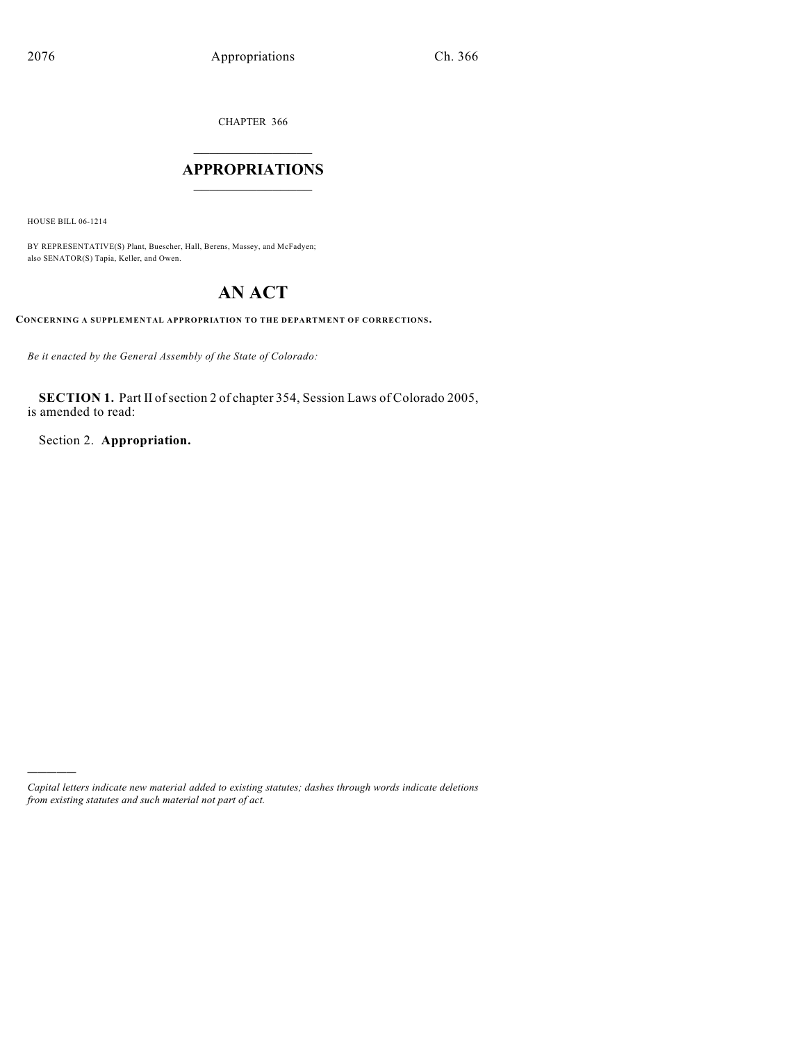CHAPTER 366

### $\overline{\phantom{a}}$  . The set of the set of the set of the set of the set of the set of the set of the set of the set of the set of the set of the set of the set of the set of the set of the set of the set of the set of the set o **APPROPRIATIONS**  $\_$   $\_$   $\_$   $\_$   $\_$   $\_$   $\_$   $\_$

HOUSE BILL 06-1214

)))))

BY REPRESENTATIVE(S) Plant, Buescher, Hall, Berens, Massey, and McFadyen; also SENATOR(S) Tapia, Keller, and Owen.

## **AN ACT**

**CONCERNING A SUPPLEMENTAL APPROPRIATION TO THE DEPARTMENT OF CORRECTIONS.**

*Be it enacted by the General Assembly of the State of Colorado:*

SECTION 1. Part II of section 2 of chapter 354, Session Laws of Colorado 2005, is amended to read:

Section 2. **Appropriation.**

*Capital letters indicate new material added to existing statutes; dashes through words indicate deletions from existing statutes and such material not part of act.*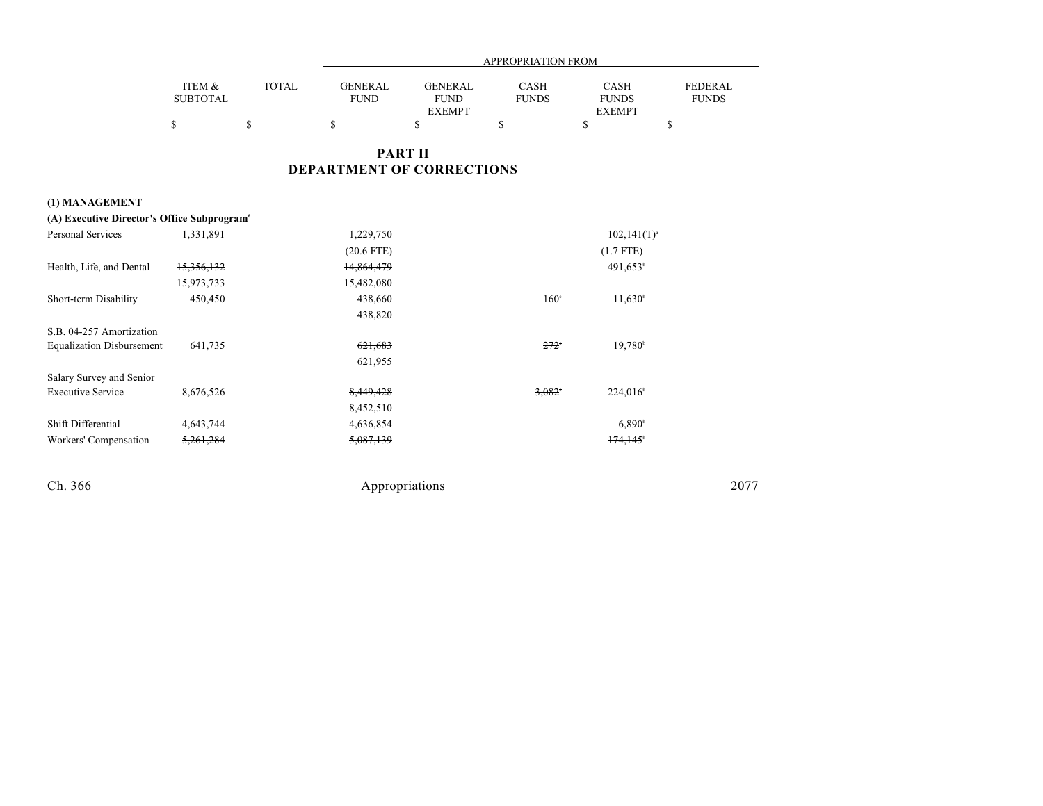|                 |              |                | <b>APPROPRIATION FROM</b> |              |               |                |  |
|-----------------|--------------|----------------|---------------------------|--------------|---------------|----------------|--|
| ITEM &          | <b>TOTAL</b> | <b>GENERAL</b> | <b>GENERAL</b>            | <b>CASH</b>  | <b>CASH</b>   | <b>FEDERAL</b> |  |
| <b>SUBTOTAL</b> |              | <b>FUND</b>    | <b>FUND</b>               | <b>FUNDS</b> | <b>FUNDS</b>  | <b>FUNDS</b>   |  |
|                 |              |                | <b>EXEMPT</b>             |              | <b>EXEMPT</b> |                |  |
|                 |              |                |                           |              |               |                |  |

### **PART II DEPARTMENT OF CORRECTIONS**

### **(1) MANAGEMENT**

| (A) Executive Director's Office Subprogram <sup>6</sup> |            |              |                 |                      |
|---------------------------------------------------------|------------|--------------|-----------------|----------------------|
| Personal Services                                       | 1,331,891  | 1,229,750    |                 | $102,141(T)^{a}$     |
|                                                         |            | $(20.6$ FTE) |                 | $(1.7$ FTE)          |
| Health, Life, and Dental                                | 15,356,132 | 14,864,479   |                 | 491,653 <sup>b</sup> |
|                                                         | 15,973,733 | 15,482,080   |                 |                      |
| Short-term Disability                                   | 450,450    | 438,660      | $160^\circ$     | $11,630^{\circ}$     |
|                                                         |            | 438,820      |                 |                      |
| S.B. 04-257 Amortization                                |            |              |                 |                      |
| <b>Equalization Disbursement</b>                        | 641,735    | 621,683      | $272^\circ$     | 19.780 <sup>b</sup>  |
|                                                         |            | 621,955      |                 |                      |
| Salary Survey and Senior                                |            |              |                 |                      |
| <b>Executive Service</b>                                | 8,676,526  | 8,449,428    | $3.082^{\circ}$ | $224,016^{\circ}$    |
|                                                         |            | 8,452,510    |                 |                      |
| Shift Differential                                      | 4,643,744  | 4,636,854    |                 | $6,890^{\circ}$      |
| Workers' Compensation                                   | 5,261,284  | 5,087,139    |                 | 174.145              |
|                                                         |            |              |                 |                      |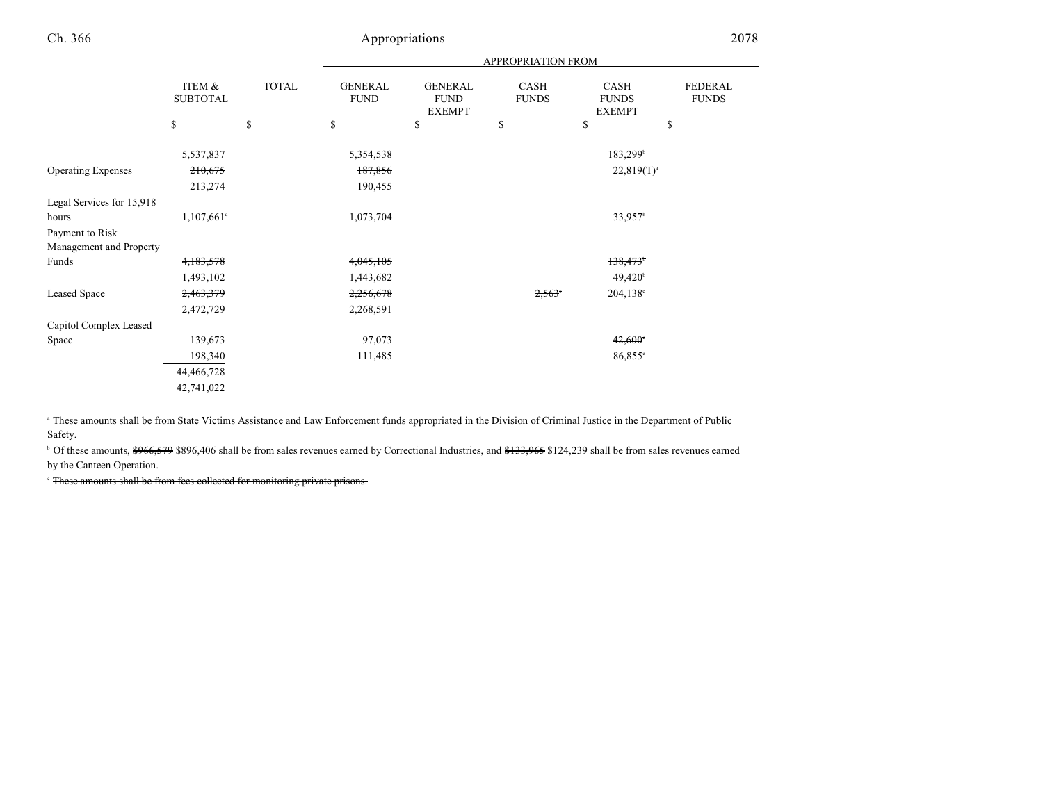|                           |                           |              | <b>APPROPRIATION FROM</b>     |                                                |                      |                                       |                                |
|---------------------------|---------------------------|--------------|-------------------------------|------------------------------------------------|----------------------|---------------------------------------|--------------------------------|
|                           | ITEM &<br><b>SUBTOTAL</b> | <b>TOTAL</b> | <b>GENERAL</b><br><b>FUND</b> | <b>GENERAL</b><br><b>FUND</b><br><b>EXEMPT</b> | CASH<br><b>FUNDS</b> | CASH<br><b>FUNDS</b><br><b>EXEMPT</b> | <b>FEDERAL</b><br><b>FUNDS</b> |
|                           | \$                        | \$           | \$                            | \$                                             | \$                   | \$                                    | \$                             |
|                           | 5,537,837                 |              | 5,354,538                     |                                                |                      | $183,299^{\circ}$                     |                                |
| <b>Operating Expenses</b> | 210,675                   |              | 187,856                       |                                                |                      | $22,819(T)^{a}$                       |                                |
|                           | 213,274                   |              | 190,455                       |                                                |                      |                                       |                                |
| Legal Services for 15,918 |                           |              |                               |                                                |                      |                                       |                                |
| hours                     | $1,107,661$ <sup>d</sup>  |              | 1,073,704                     |                                                |                      | 33,957 <sup>b</sup>                   |                                |
| Payment to Risk           |                           |              |                               |                                                |                      |                                       |                                |
| Management and Property   |                           |              |                               |                                                |                      |                                       |                                |
| Funds                     | 4,183,578                 |              | 4,045,105                     |                                                |                      | 138,473                               |                                |
|                           | 1,493,102                 |              | 1,443,682                     |                                                |                      | $49,420^{\circ}$                      |                                |
| Leased Space              | 2,463,379                 |              | 2,256,678                     |                                                | 2,563                | 204,138°                              |                                |
|                           | 2,472,729                 |              | 2,268,591                     |                                                |                      |                                       |                                |
| Capitol Complex Leased    |                           |              |                               |                                                |                      |                                       |                                |
| Space                     | 139,673                   |              | 97,073                        |                                                |                      | $42,600^{\circ}$                      |                                |
|                           | 198,340                   |              | 111,485                       |                                                |                      | $86,855^{\circ}$                      |                                |
|                           | 44,466,728                |              |                               |                                                |                      |                                       |                                |
|                           | 42,741,022                |              |                               |                                                |                      |                                       |                                |

<sup>a</sup> These amounts shall be from State Victims Assistance and Law Enforcement funds appropriated in the Division of Criminal Justice in the Department of Public Safety.

<sup>b</sup> Of these amounts, \$966,579 \$896,406 shall be from sales revenues earned by Correctional Industries, and \$133,965 \$124,239 shall be from sales revenues earned by the Canteen Operation.

These amounts shall be from fees collected for monitoring private prisons.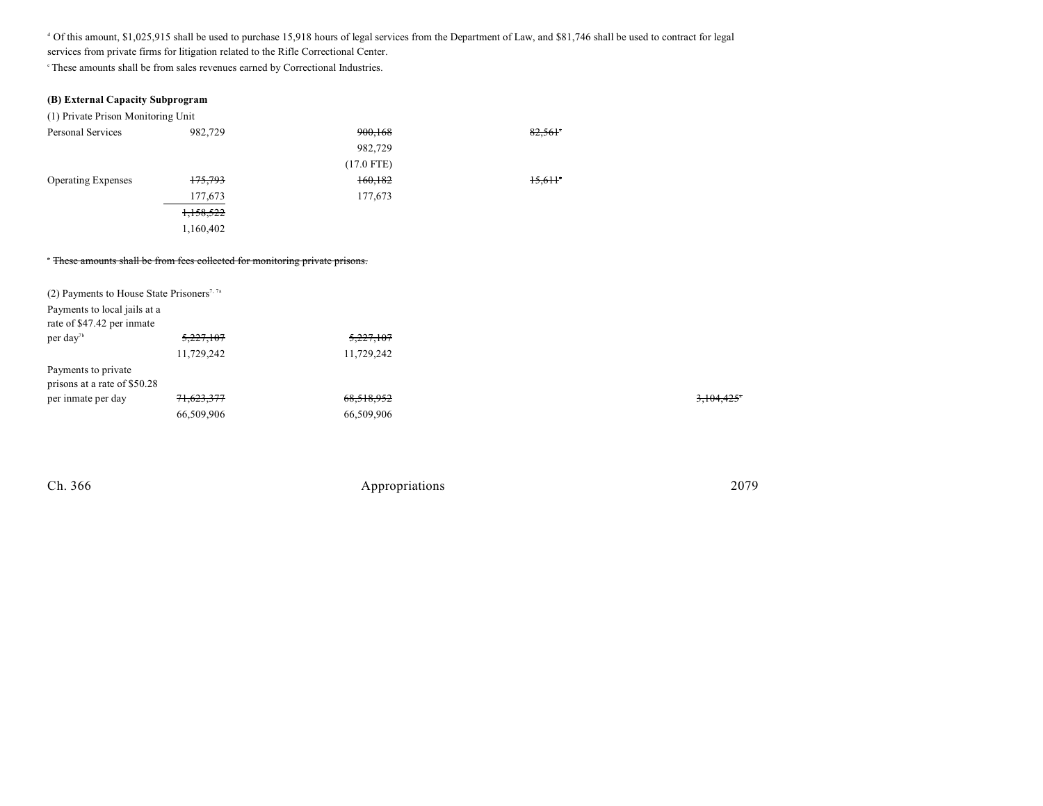<sup>d</sup> Of this amount, \$1,025,915 shall be used to purchase 15,918 hours of legal services from the Department of Law, and \$81,746 shall be used to contract for legal services from private firms for litigation related to the Rifle Correctional Center.

 $\degree$ These amounts shall be from sales revenues earned by Correctional Industries.

| (B) External Capacity Subprogram                                                                                |                                                                              |              |                       |
|-----------------------------------------------------------------------------------------------------------------|------------------------------------------------------------------------------|--------------|-----------------------|
| (1) Private Prison Monitoring Unit                                                                              |                                                                              |              |                       |
| Personal Services                                                                                               | 982,729                                                                      | 900,168      | 82,561*               |
|                                                                                                                 |                                                                              | 982,729      |                       |
|                                                                                                                 |                                                                              | $(17.0$ FTE) |                       |
| <b>Operating Expenses</b>                                                                                       | 175,793                                                                      | 160,182      | $15,611$ <sup>*</sup> |
|                                                                                                                 | 177,673                                                                      | 177,673      |                       |
|                                                                                                                 | 1,158,522                                                                    |              |                       |
|                                                                                                                 | 1,160,402                                                                    |              |                       |
|                                                                                                                 | * These amounts shall be from fees collected for monitoring private prisons. |              |                       |
| (2) Payments to House State Prisoners <sup>7, 7a</sup>                                                          |                                                                              |              |                       |
| Payments to local jails at a<br>rate of \$47.42 per inmate                                                      |                                                                              |              |                       |
| per day <sup>7b</sup>                                                                                           | 5,227,107                                                                    | 5,227,107    |                       |
|                                                                                                                 | 11,729,242                                                                   | 11,729,242   |                       |
| Payments to private<br>prisons at a rate of \$50.28                                                             |                                                                              |              |                       |
| the contract of the contract of the contract of the contract of the contract of the contract of the contract of | 71,000,077                                                                   | (0.510.052)  |                       |

| per inmate per day | 71,623,377 | 68,518,952 | 3,104,425° |
|--------------------|------------|------------|------------|
|                    | 66,509,906 | 66,509,906 |            |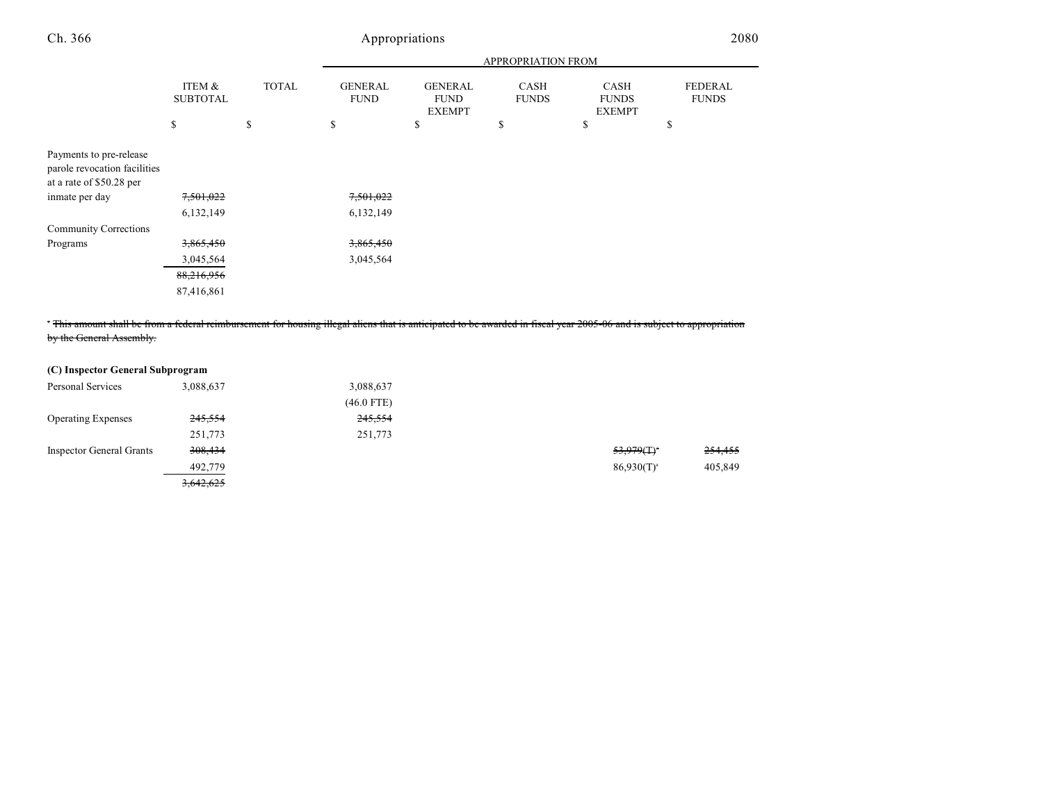|                                                                                     |                           |              | APPROPRIATION FROM            |                                                |                             |                                              |                         |
|-------------------------------------------------------------------------------------|---------------------------|--------------|-------------------------------|------------------------------------------------|-----------------------------|----------------------------------------------|-------------------------|
|                                                                                     | ITEM &<br><b>SUBTOTAL</b> | <b>TOTAL</b> | <b>GENERAL</b><br><b>FUND</b> | <b>GENERAL</b><br><b>FUND</b><br><b>EXEMPT</b> | <b>CASH</b><br><b>FUNDS</b> | <b>CASH</b><br><b>FUNDS</b><br><b>EXEMPT</b> | FEDERAL<br><b>FUNDS</b> |
|                                                                                     | \$                        | \$           | \$                            | \$                                             | \$                          | \$                                           | \$                      |
| Payments to pre-release<br>parole revocation facilities<br>at a rate of \$50.28 per |                           |              |                               |                                                |                             |                                              |                         |
| inmate per day                                                                      | 7,501,022                 |              | 7,501,022                     |                                                |                             |                                              |                         |
|                                                                                     | 6,132,149                 |              | 6,132,149                     |                                                |                             |                                              |                         |
| <b>Community Corrections</b>                                                        |                           |              |                               |                                                |                             |                                              |                         |
| Programs                                                                            | 3,865,450                 |              | 3,865,450                     |                                                |                             |                                              |                         |
|                                                                                     | 3,045,564                 |              | 3,045,564                     |                                                |                             |                                              |                         |
|                                                                                     | 88,216,956                |              |                               |                                                |                             |                                              |                         |
|                                                                                     | 87,416,861                |              |                               |                                                |                             |                                              |                         |

<sup>\*</sup> This amount shall be from a federal reimbursement for housing illegal aliens that is anticipated to be awarded in fiscal year 2005-06 and is subject to appropriation by the General Assembly.

| (C) Inspector General Subprogram |           |              |                 |         |
|----------------------------------|-----------|--------------|-----------------|---------|
| Personal Services                | 3,088,637 | 3,088,637    |                 |         |
|                                  |           | $(46.0$ FTE) |                 |         |
| <b>Operating Expenses</b>        | 245,554   | 245,554      |                 |         |
|                                  | 251,773   | 251,773      |                 |         |
| <b>Inspector General Grants</b>  | 308,434   |              | 53.979(T)       | 254,455 |
|                                  | 492,779   |              | $86,930(T)^{a}$ | 405,849 |
|                                  | 3,642,625 |              |                 |         |

| <del>53,979(T)</del> * | 254,455 |
|------------------------|---------|
| $86,930(T)^{3}$        | 405,849 |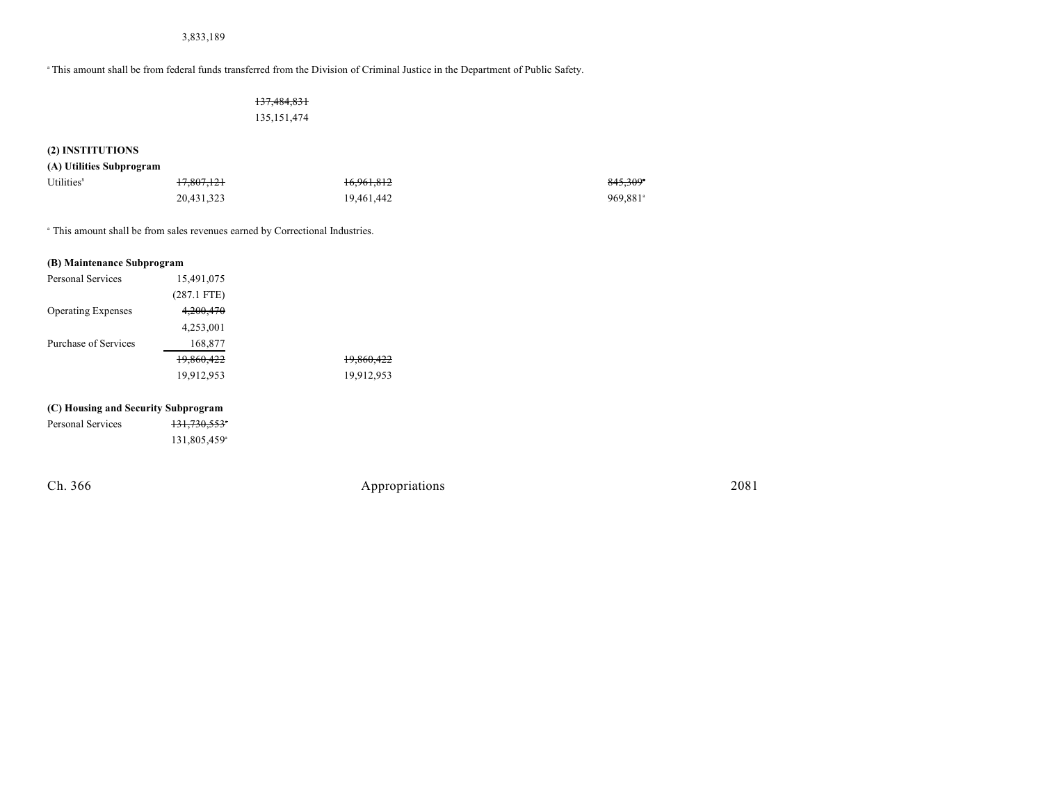3,833,189

<sup>a</sup> This amount shall be from federal funds transferred from the Division of Criminal Justice in the Department of Public Safety.

#### 137,484,831 135,151,474

### **(2) INSTITUTIONS**

#### **(A) Utilities Subprogram**

| Utilities <sup>8</sup> | <del>17,807,121</del> | <del>16,961,812</del> | 845.309 <sup>*</sup> |
|------------------------|-----------------------|-----------------------|----------------------|
|                        | 20,431,323            | 19,461,442            | 969,881 <sup>a</sup> |

This amount shall be from sales revenues earned by Correctional Industries. <sup>a</sup>

| (B) Maintenance Subprogram |               |            |
|----------------------------|---------------|------------|
| Personal Services          | 15,491,075    |            |
|                            | $(287.1$ FTE) |            |
| <b>Operating Expenses</b>  | 4,200,470     |            |
|                            | 4,253,001     |            |
| Purchase of Services       | 168,877       |            |
|                            | 19,860,422    | 19,860,422 |
|                            | 19,912,953    | 19,912,953 |
|                            |               |            |

#### **(C) Housing and Security Subprogram**

| Personal Services | 131,730,553 |
|-------------------|-------------|
|                   | 131,805,459 |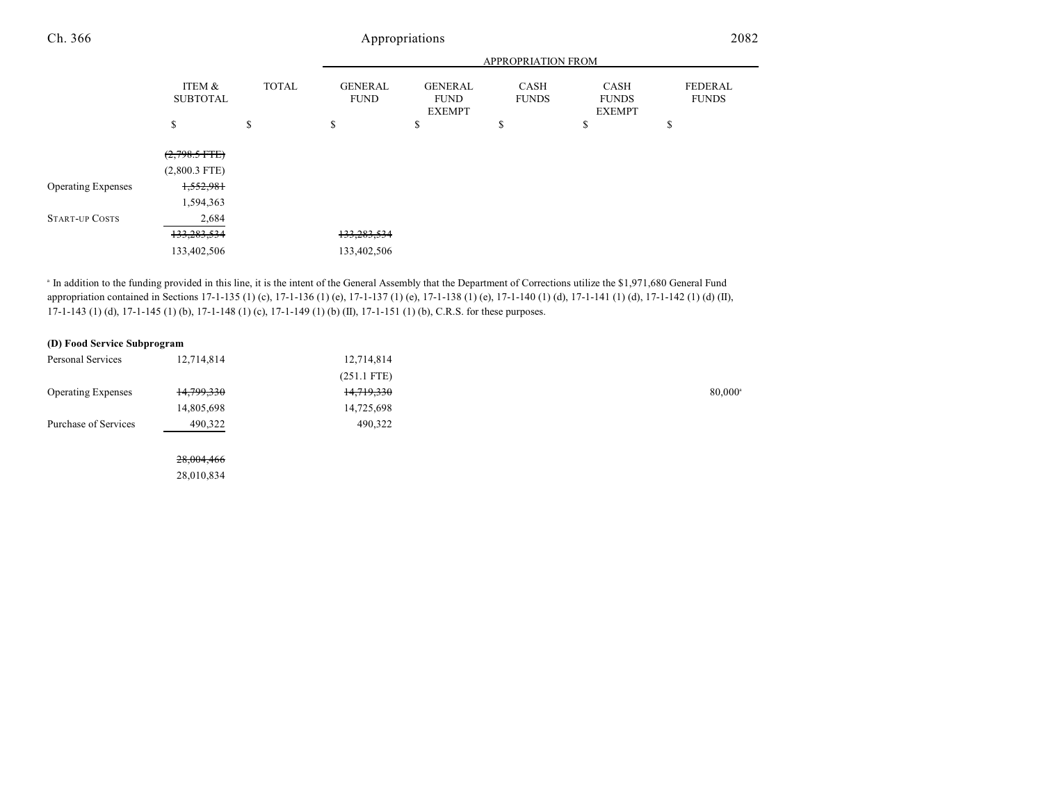#### APPROPRIATION FROM ITEM & SUBTOTAL TOTAL GENERAL FUND GENERAL FUND EXEMPT CASH FUNDS CASH FUNDS EXEMPT FEDERAL FUNDS  $\texttt{s}$   $\texttt{s}$   $\texttt{s}$   $\texttt{s}$   $\texttt{s}$   $\texttt{s}$ Ch. 366 Appropriations 2082  $(2,798.5$  FTE $)$ (2,800.3 FTE) Operating Expenses 1,552,981 1,594,363 START-UP COSTS 2,684

<sup>a</sup> In addition to the funding provided in this line, it is the intent of the General Assembly that the Department of Corrections utilize the \$1,971,680 General Fund appropriation contained in Sections 17-1-135 (1) (c), 17-1-136 (1) (e), 17-1-137 (1) (e), 17-1-138 (1) (e), 17-1-140 (1) (d), 17-1-141 (1) (d), 17-1-142 (1) (d) (II), 17-1-143 (1) (d), 17-1-145 (1) (b), 17-1-148 (1) (c), 17-1-149 (1) (b) (II), 17-1-151 (1) (b), C.R.S. for these purposes.

133,283,534 133,283,534 133,402,506 133,402,506

#### **(D) Food Service Subprogram**

28,010,834

| Personal Services         | 12,714,814 | 12,714,814    |                  |
|---------------------------|------------|---------------|------------------|
|                           |            | $(251.1$ FTE) |                  |
| <b>Operating Expenses</b> | 14,799,330 | 14,719,330    | $80,000^{\circ}$ |
|                           | 14,805,698 | 14,725,698    |                  |
| Purchase of Services      | 490,322    | 490,322       |                  |
|                           |            |               |                  |
|                           | 28,004,466 |               |                  |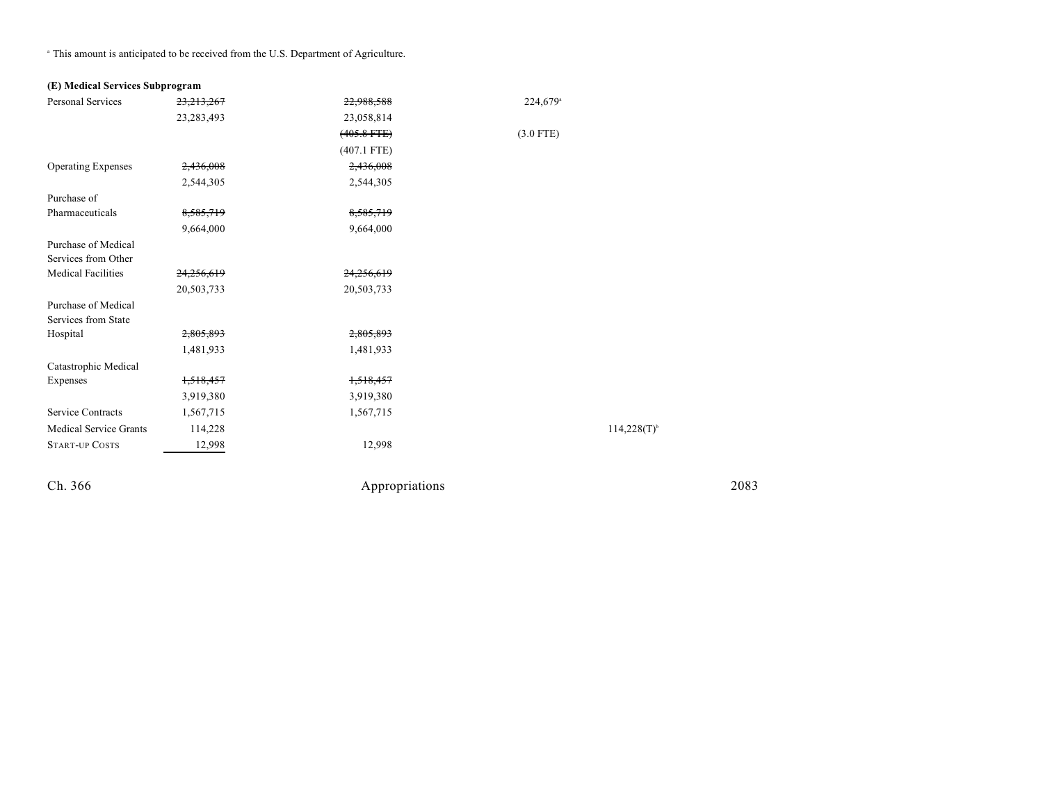<sup>a</sup> This amount is anticipated to be received from the U.S. Department of Agriculture.

#### **(E) Medical Services Subprogram**

| <b>Personal Services</b>      | 23, 213, 267 | 22,988,588       | 224,679 <sup>a</sup> |
|-------------------------------|--------------|------------------|----------------------|
|                               | 23, 283, 493 | 23,058,814       |                      |
|                               |              | $(405.8$ FTE $)$ | $(3.0$ FTE)          |
|                               |              | $(407.1$ FTE)    |                      |
| <b>Operating Expenses</b>     | 2,436,008    | 2,436,008        |                      |
|                               | 2,544,305    | 2,544,305        |                      |
| Purchase of                   |              |                  |                      |
| Pharmaceuticals               | 8,585,719    | 8,585,719        |                      |
|                               | 9,664,000    | 9,664,000        |                      |
| Purchase of Medical           |              |                  |                      |
| Services from Other           |              |                  |                      |
| <b>Medical Facilities</b>     | 24,256,619   | 24,256,619       |                      |
|                               | 20,503,733   | 20,503,733       |                      |
| Purchase of Medical           |              |                  |                      |
| Services from State           |              |                  |                      |
| Hospital                      | 2,805,893    | 2,805,893        |                      |
|                               | 1,481,933    | 1,481,933        |                      |
| Catastrophic Medical          |              |                  |                      |
| Expenses                      | 1,518,457    | 1,518,457        |                      |
|                               | 3,919,380    | 3,919,380        |                      |
| <b>Service Contracts</b>      | 1,567,715    | 1,567,715        |                      |
| <b>Medical Service Grants</b> | 114,228      |                  | $114,228(T)^{6}$     |
| <b>START-UP COSTS</b>         | 12,998       | 12,998           |                      |
|                               |              |                  |                      |
|                               |              |                  |                      |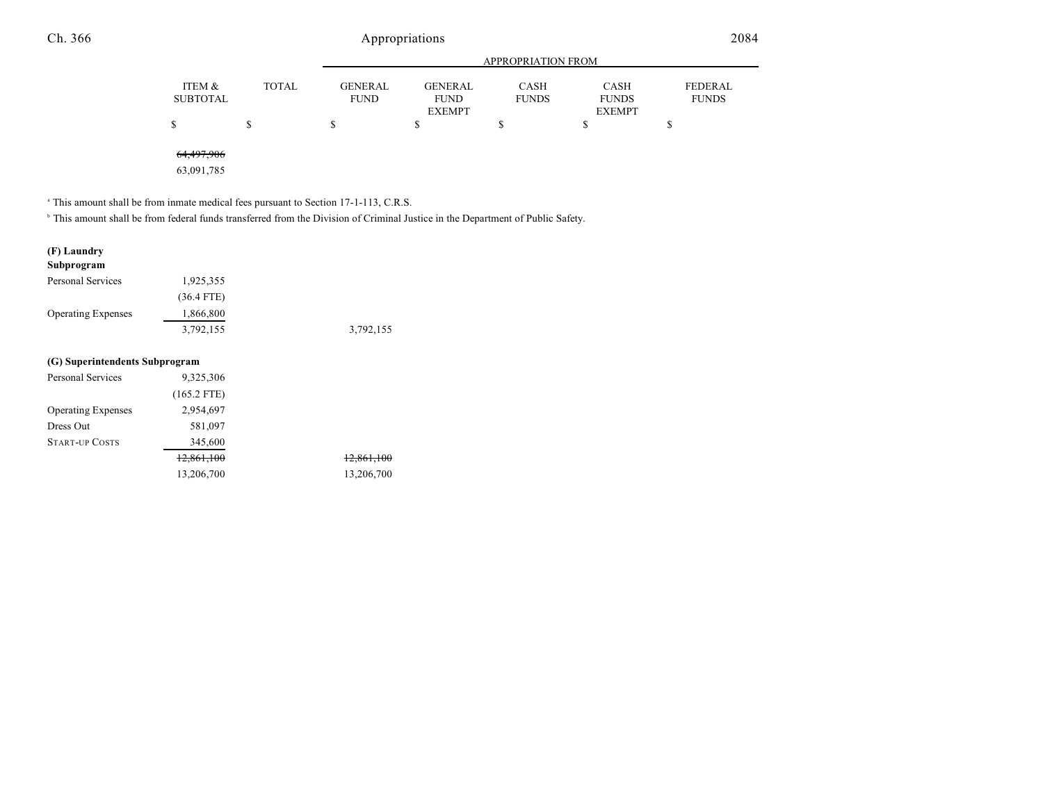|                           |              |                               |                               | <b>APPROPRIATION FROM</b> |                             |                                |
|---------------------------|--------------|-------------------------------|-------------------------------|---------------------------|-----------------------------|--------------------------------|
| ITEM &<br><b>SUBTOTAL</b> | <b>TOTAL</b> | <b>GENERAL</b><br><b>FUND</b> | <b>GENERAL</b><br><b>FUND</b> | CASH<br><b>FUNDS</b>      | <b>CASH</b><br><b>FUNDS</b> | <b>FEDERAL</b><br><b>FUNDS</b> |
|                           |              |                               | <b>EXEMPT</b>                 |                           | <b>EXEMPT</b>               |                                |
|                           |              | S                             |                               |                           | \$                          |                                |
| 64,497,906                |              |                               |                               |                           |                             |                                |

63,091,785

 $^{\circ}$  This amount shall be from inmate medical fees pursuant to Section 17-1-113, C.R.S.

<sup>b</sup> This amount shall be from federal funds transferred from the Division of Criminal Justice in the Department of Public Safety.

| (F) Laundry                    |               |                       |
|--------------------------------|---------------|-----------------------|
| Subprogram                     |               |                       |
| Personal Services              | 1,925,355     |                       |
|                                | $(36.4$ FTE)  |                       |
| <b>Operating Expenses</b>      | 1,866,800     |                       |
|                                | 3,792,155     | 3,792,155             |
| (G) Superintendents Subprogram |               |                       |
| Personal Services              | 9,325,306     |                       |
|                                | $(165.2$ FTE) |                       |
| <b>Operating Expenses</b>      | 2,954,697     |                       |
| Dress Out                      | 581,097       |                       |
| <b>START-UP COSTS</b>          | 345,600       |                       |
|                                | 12,861,100    | <del>12,861,100</del> |
|                                | 13,206,700    | 13,206,700            |
|                                |               |                       |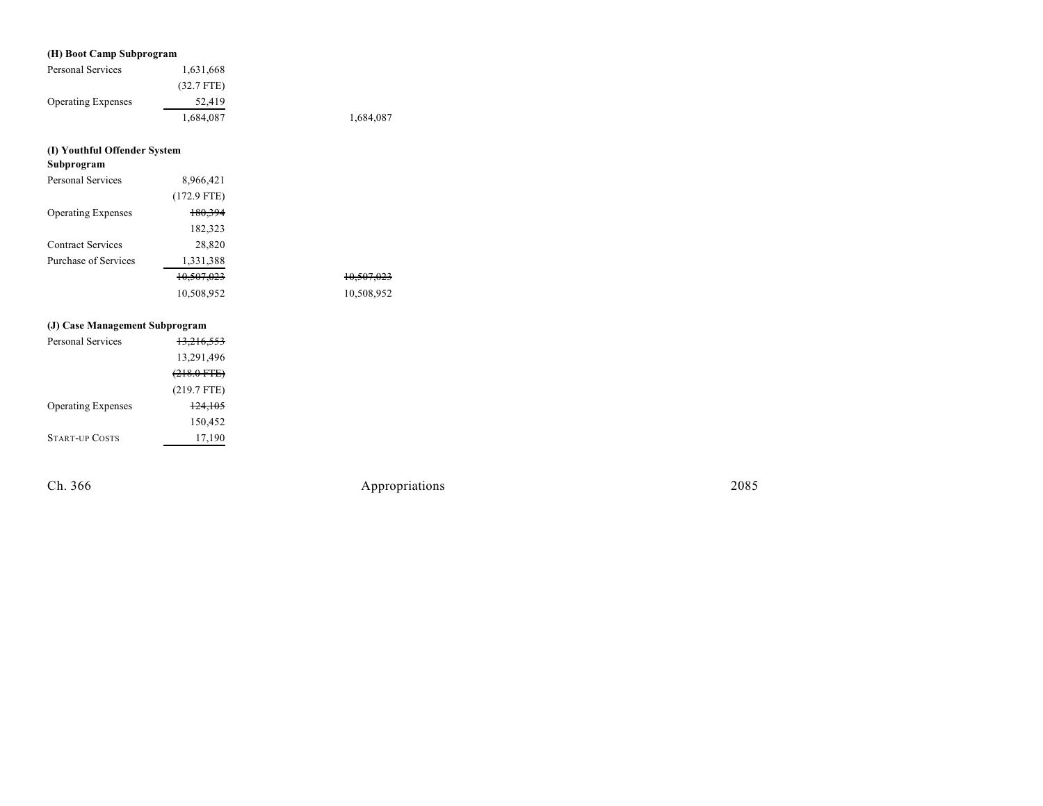#### **(H) Boo t Cam p S u b program**

| Personal Services         | 1,631,668    |           |
|---------------------------|--------------|-----------|
|                           | $(32.7$ FTE) |           |
| <b>Operating Expenses</b> | 52,419       |           |
|                           | 1,684,087    | 1,684,087 |

#### **(I) Youthful Offender System**

| Subprogram                |                       |  |
|---------------------------|-----------------------|--|
| <b>Personal Services</b>  | 8,966,421             |  |
|                           | $(172.9$ FTE)         |  |
| <b>Operating Expenses</b> | 180,394               |  |
|                           | 182,323               |  |
| <b>Contract Services</b>  | 28,820                |  |
| Purchase of Services      | 1,331,388             |  |
|                           | <del>10,507,023</del> |  |
|                           | 10,508,952            |  |

#### **(J) Case Manage men t S u b program**

| Personal Services         | <del>13,216,553</del> |
|---------------------------|-----------------------|
|                           | 13,291,496            |
|                           | $(218.0 \text{ FTE})$ |
|                           | $(219.7$ FTE)         |
| <b>Operating Expenses</b> | 124.105               |
|                           | 150,452               |
| <b>START-UP COSTS</b>     | 17,190                |

Ch. 366

Appropr iat

10,507,023 10,507,023 10,508,952 10,508,952

ions 2085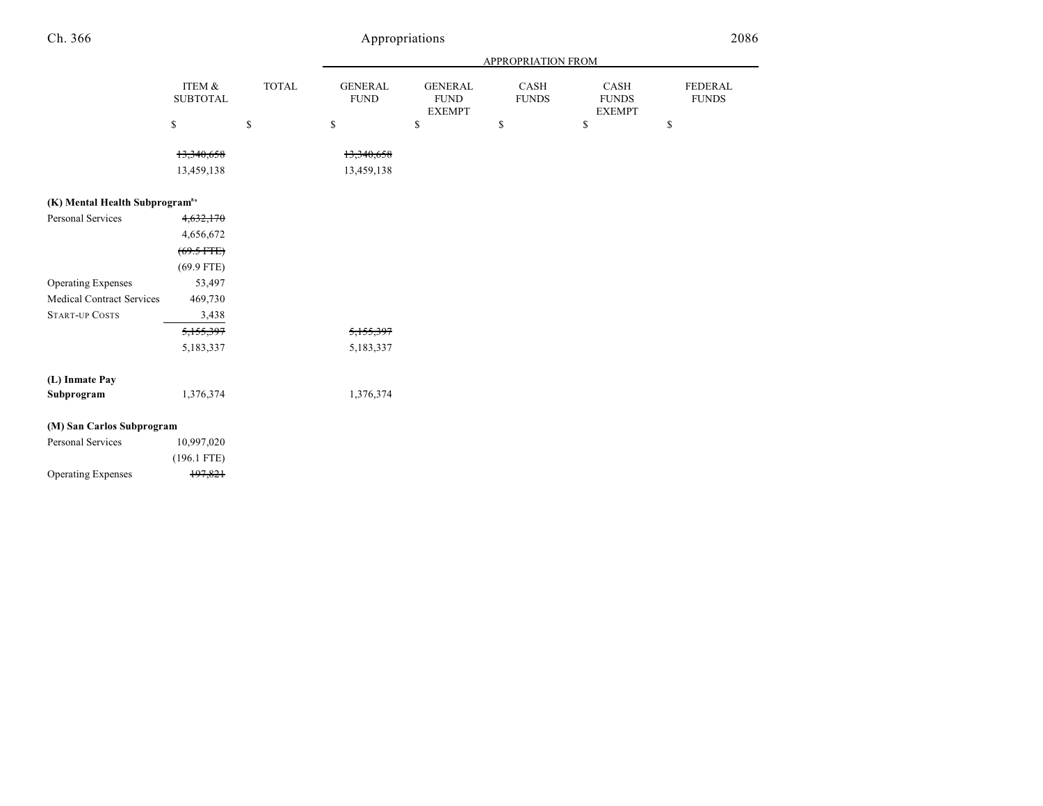|                                            |                           |              |                               |                                                | <b>APPROPRIATION FROM</b> |                                       |                         |
|--------------------------------------------|---------------------------|--------------|-------------------------------|------------------------------------------------|---------------------------|---------------------------------------|-------------------------|
|                                            | ITEM &<br><b>SUBTOTAL</b> | <b>TOTAL</b> | <b>GENERAL</b><br><b>FUND</b> | <b>GENERAL</b><br><b>FUND</b><br><b>EXEMPT</b> | CASH<br><b>FUNDS</b>      | CASH<br><b>FUNDS</b><br><b>EXEMPT</b> | FEDERAL<br><b>FUNDS</b> |
|                                            | $\mathbb{S}$              | \$           | $\mathbb S$                   | \$                                             | \$                        | \$                                    | \$                      |
|                                            | 13,340,658<br>13,459,138  |              | 13,340,658<br>13,459,138      |                                                |                           |                                       |                         |
| (K) Mental Health Subprogram <sup>8a</sup> |                           |              |                               |                                                |                           |                                       |                         |
| <b>Personal Services</b>                   | 4,632,170                 |              |                               |                                                |                           |                                       |                         |
|                                            | 4,656,672                 |              |                               |                                                |                           |                                       |                         |
|                                            | $(69.5$ FTE)              |              |                               |                                                |                           |                                       |                         |
|                                            | $(69.9$ FTE)              |              |                               |                                                |                           |                                       |                         |
| <b>Operating Expenses</b>                  | 53,497                    |              |                               |                                                |                           |                                       |                         |
| <b>Medical Contract Services</b>           | 469,730                   |              |                               |                                                |                           |                                       |                         |
| <b>START-UP COSTS</b>                      | 3,438                     |              |                               |                                                |                           |                                       |                         |
|                                            | 5,155,397                 |              | 5,155,397                     |                                                |                           |                                       |                         |
|                                            | 5,183,337                 |              | 5,183,337                     |                                                |                           |                                       |                         |
| (L) Inmate Pay                             |                           |              |                               |                                                |                           |                                       |                         |
| Subprogram                                 | 1,376,374                 |              | 1,376,374                     |                                                |                           |                                       |                         |
| (M) San Carlos Subprogram                  |                           |              |                               |                                                |                           |                                       |                         |
| Personal Services                          | 10,997,020                |              |                               |                                                |                           |                                       |                         |
|                                            | $(196.1$ FTE)             |              |                               |                                                |                           |                                       |                         |
| <b>Operating Expenses</b>                  | 197,821                   |              |                               |                                                |                           |                                       |                         |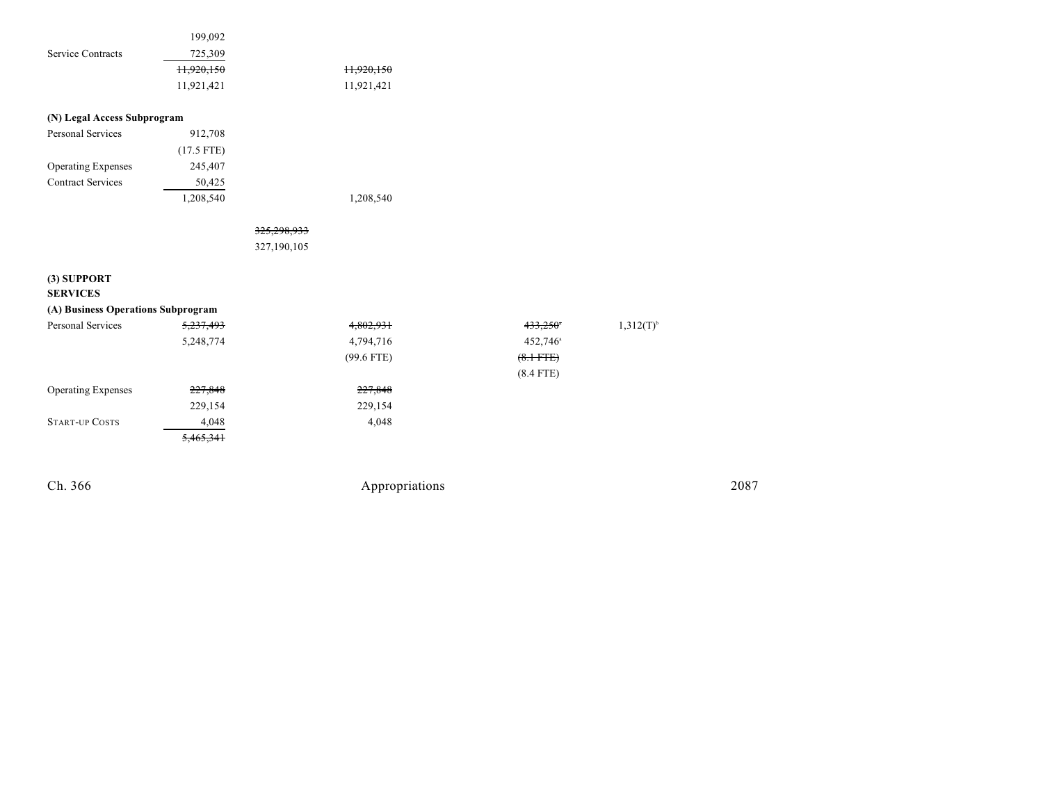| Ch. 366                            |              |             | Appropriations |                      |                | 2087 |
|------------------------------------|--------------|-------------|----------------|----------------------|----------------|------|
|                                    | 5,465,341    |             |                |                      |                |      |
| <b>START-UP COSTS</b>              | 4,048        |             | 4,048          |                      |                |      |
|                                    | 229,154      |             | 229,154        |                      |                |      |
| <b>Operating Expenses</b>          | 227,848      |             | 227,848        |                      |                |      |
|                                    |              |             |                | $(8.4$ FTE)          |                |      |
|                                    |              |             | $(99.6$ FTE)   | $(8.1 - FFE)$        |                |      |
|                                    | 5,248,774    |             | 4,794,716      | 452,746 <sup>a</sup> |                |      |
| Personal Services                  | 5,237,493    |             | 4,802,931      | 433,250*             | $1,312(T)^{b}$ |      |
| (A) Business Operations Subprogram |              |             |                |                      |                |      |
| (3) SUPPORT<br><b>SERVICES</b>     |              |             |                |                      |                |      |
|                                    |              | 327,190,105 |                |                      |                |      |
|                                    |              | 325,298,933 |                |                      |                |      |
|                                    |              |             |                |                      |                |      |
|                                    | 1,208,540    |             | 1,208,540      |                      |                |      |
| <b>Contract Services</b>           | 50,425       |             |                |                      |                |      |
| <b>Operating Expenses</b>          | 245,407      |             |                |                      |                |      |
|                                    | $(17.5$ FTE) |             |                |                      |                |      |
| Personal Services                  | 912,708      |             |                |                      |                |      |
| (N) Legal Access Subprogram        |              |             |                |                      |                |      |
|                                    | 11,921,421   |             | 11,921,421     |                      |                |      |
|                                    | 11,920,150   |             | 11,920,150     |                      |                |      |
| <b>Service Contracts</b>           | 725,309      |             |                |                      |                |      |
|                                    |              |             |                |                      |                |      |
|                                    | 199,092      |             |                |                      |                |      |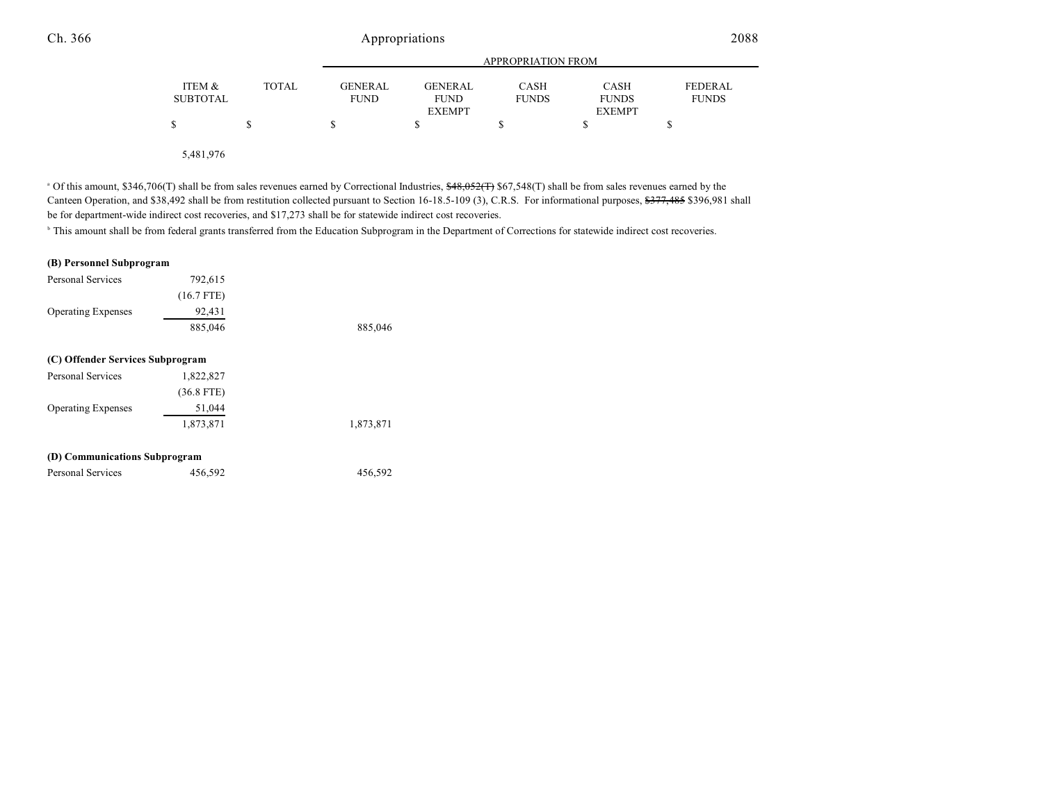|                           |              |                               |                               | <b>APPROPRIATION FROM</b>   |                             |                         |
|---------------------------|--------------|-------------------------------|-------------------------------|-----------------------------|-----------------------------|-------------------------|
| ITEM &<br><b>SUBTOTAL</b> | <b>TOTAL</b> | <b>GENERAL</b><br><b>FUND</b> | <b>GENERAL</b><br><b>FUND</b> | <b>CASH</b><br><b>FUNDS</b> | <b>CASH</b><br><b>FUNDS</b> | FEDERAL<br><b>FUNDS</b> |
|                           |              |                               | <b>EXEMPT</b>                 |                             | <b>EXEMPT</b>               |                         |
|                           |              |                               |                               |                             |                             |                         |
|                           |              |                               |                               |                             |                             |                         |

5,481,976

<sup>a</sup> Of this amount, \$346,706(T) shall be from sales revenues earned by Correctional Industries, <del>\$48,052(T)</del> \$67,548(T) shall be from sales revenues earned by the Canteen Operation, and \$38,492 shall be from restitution collected pursuant to Section 16-18.5-109 (3), C.R.S. For informational purposes, \$377,485 \$396,981 shall be for department-wide indirect cost recoveries, and \$17,273 shall be for statewide indirect cost recoveries.

<sup>b</sup> This amount shall be from federal grants transferred from the Education Subprogram in the Department of Corrections for statewide indirect cost recoveries.

| (B) Personnel Subprogram         |              |           |
|----------------------------------|--------------|-----------|
| Personal Services                | 792,615      |           |
|                                  | $(16.7$ FTE) |           |
| <b>Operating Expenses</b>        | 92,431       |           |
|                                  | 885,046      | 885,046   |
| (C) Offender Services Subprogram |              |           |
| <b>Personal Services</b>         | 1,822,827    |           |
|                                  | $(36.8$ FTE) |           |
| <b>Operating Expenses</b>        | 51,044       |           |
|                                  | 1,873,871    | 1,873,871 |
| (D) Communications Subprogram    |              |           |
| Personal Services                | 456,592      | 456,592   |
|                                  |              |           |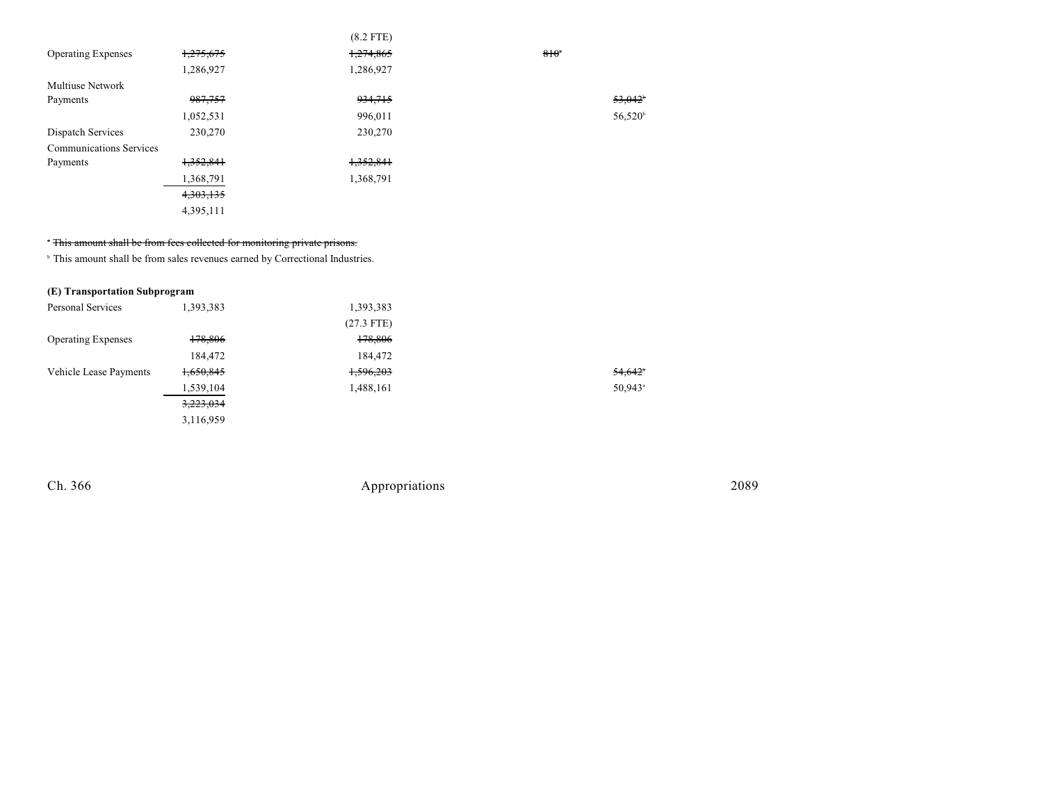|                                |           | $(8.2$ FTE) |                  |
|--------------------------------|-----------|-------------|------------------|
| <b>Operating Expenses</b>      | 1,275,675 | 1,274,865   | $810^{4}$        |
|                                | 1,286,927 | 1,286,927   |                  |
| <b>Multiuse Network</b>        |           |             |                  |
| Payments                       | 987,757   | 934,715     | 53.042           |
|                                | 1,052,531 | 996,011     | $56,520^{\circ}$ |
| Dispatch Services              | 230,270   | 230,270     |                  |
| <b>Communications Services</b> |           |             |                  |
| Payments                       | 1,352,841 | 1,352,841   |                  |
|                                | 1,368,791 | 1,368,791   |                  |
|                                | 4,303,135 |             |                  |
|                                | 4,395,111 |             |                  |

#### <sup>\*</sup> This amount shall be from fees collected for monitoring private prisons.

<sup>b</sup> This amount shall be from sales revenues earned by Correctional Industries.

#### **(E) Transportation Subprogram**

| Personal Services         | 1,393,383 | 1,393,383    |        |
|---------------------------|-----------|--------------|--------|
|                           |           | $(27.3$ FTE) |        |
| <b>Operating Expenses</b> | 178,806   | 178,806      |        |
|                           | 184,472   | 184,472      |        |
| Vehicle Lease Payments    | 1,650,845 | 1,596,203    | 54,642 |
|                           | 1,539,104 | 1,488,161    | 50,943 |
|                           | 3,223,034 |              |        |
|                           | 3.116.959 |              |        |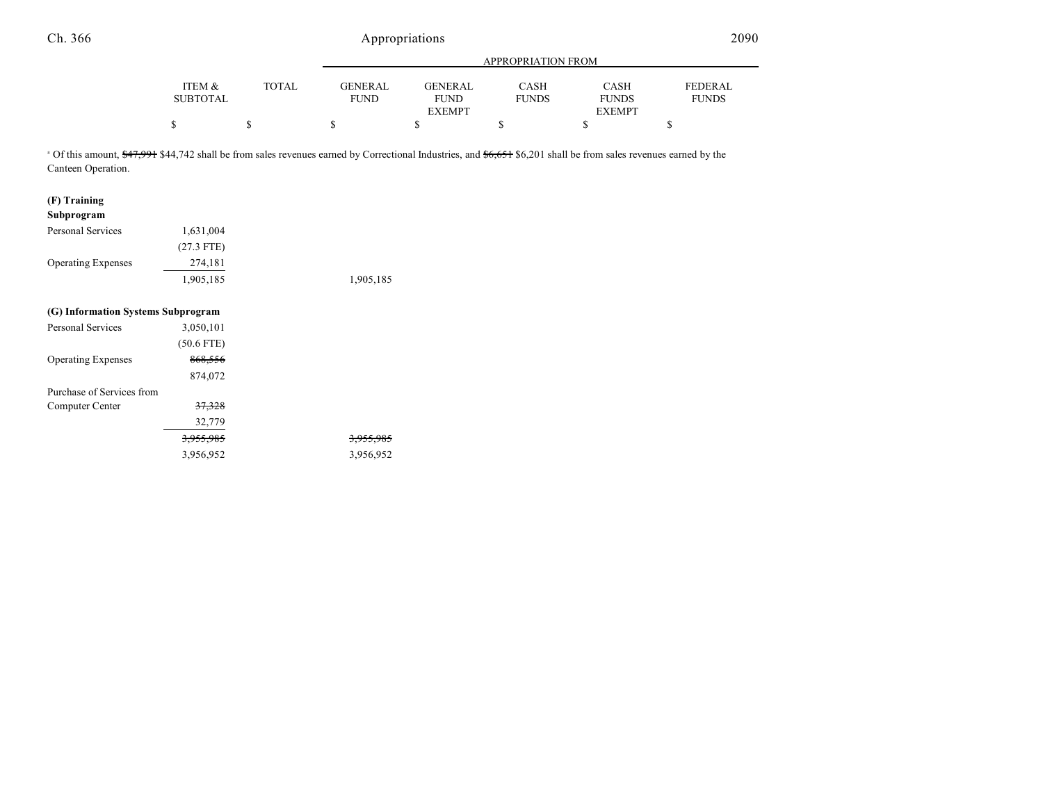|                 |              |             | APPROPRIATION FROM |              |               |              |  |
|-----------------|--------------|-------------|--------------------|--------------|---------------|--------------|--|
| ITEM &          | <b>TOTAL</b> | GENERAL     | GENERAL            | CASH         | <b>CASH</b>   | FEDERAL      |  |
| <b>SUBTOTAL</b> |              | <b>FUND</b> | <b>FUND</b>        | <b>FUNDS</b> | <b>FUNDS</b>  | <b>FUNDS</b> |  |
|                 |              |             | <b>EXEMPT</b>      |              | <b>EXEMPT</b> |              |  |
|                 |              |             |                    |              |               |              |  |

<sup>a</sup> Of this amount, \$47,991 \$44,742 shall be from sales revenues earned by Correctional Industries, and \$6,651 \$6,201 shall be from sales revenues earned by the Canteen Operation.

| (F) Training                       |                      |           |
|------------------------------------|----------------------|-----------|
| Subprogram                         |                      |           |
| <b>Personal Services</b>           | 1,631,004            |           |
|                                    | $(27.3$ FTE)         |           |
| <b>Operating Expenses</b>          | 274,181              |           |
|                                    | 1,905,185            | 1,905,185 |
| (G) Information Systems Subprogram |                      |           |
| <b>Personal Services</b>           | 3,050,101            |           |
|                                    | $(50.6$ FTE)         |           |
| <b>Operating Expenses</b>          | 868,556              |           |
|                                    | 874,072              |           |
| Purchase of Services from          |                      |           |
| Computer Center                    | 37,328               |           |
|                                    | 32,779               |           |
|                                    | <del>3,955,985</del> |           |
|                                    | 3,956,952            | 3,956,952 |
|                                    |                      |           |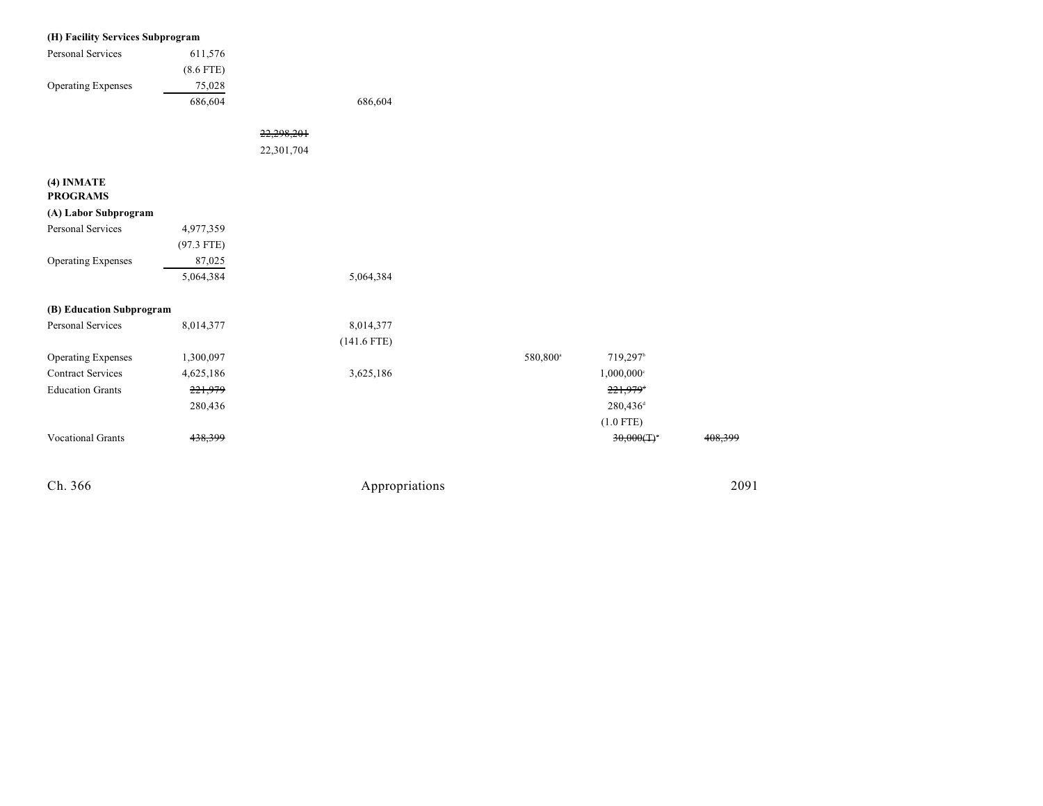| (H) Facility Services Subprogram |              |            |                |                      |                      |         |
|----------------------------------|--------------|------------|----------------|----------------------|----------------------|---------|
| Personal Services                | 611,576      |            |                |                      |                      |         |
|                                  | $(8.6$ FTE)  |            |                |                      |                      |         |
| <b>Operating Expenses</b>        | 75,028       |            |                |                      |                      |         |
|                                  | 686,604      |            | 686,604        |                      |                      |         |
|                                  |              | 22,298,201 |                |                      |                      |         |
|                                  |              | 22,301,704 |                |                      |                      |         |
| (4) INMATE<br><b>PROGRAMS</b>    |              |            |                |                      |                      |         |
| (A) Labor Subprogram             |              |            |                |                      |                      |         |
| Personal Services                | 4,977,359    |            |                |                      |                      |         |
|                                  | $(97.3$ FTE) |            |                |                      |                      |         |
| <b>Operating Expenses</b>        | 87,025       |            |                |                      |                      |         |
|                                  | 5,064,384    |            | 5,064,384      |                      |                      |         |
| (B) Education Subprogram         |              |            |                |                      |                      |         |
| Personal Services                | 8,014,377    |            | 8,014,377      |                      |                      |         |
|                                  |              |            | $(141.6$ FTE)  |                      |                      |         |
| <b>Operating Expenses</b>        | 1,300,097    |            |                | 580,800 <sup>a</sup> | 719,297b             |         |
| <b>Contract Services</b>         | 4,625,186    |            | 3,625,186      |                      | 1,000,000°           |         |
| <b>Education Grants</b>          | 221,979      |            |                |                      | 221,979 <sup>t</sup> |         |
|                                  | 280,436      |            |                |                      | 280,436 <sup>d</sup> |         |
|                                  |              |            |                |                      | $(1.0$ FTE)          |         |
| <b>Vocational Grants</b>         | 438,399      |            |                |                      | 30,000(T)            | 408,399 |
| Ch. 366                          |              |            | Appropriations |                      |                      | 2091    |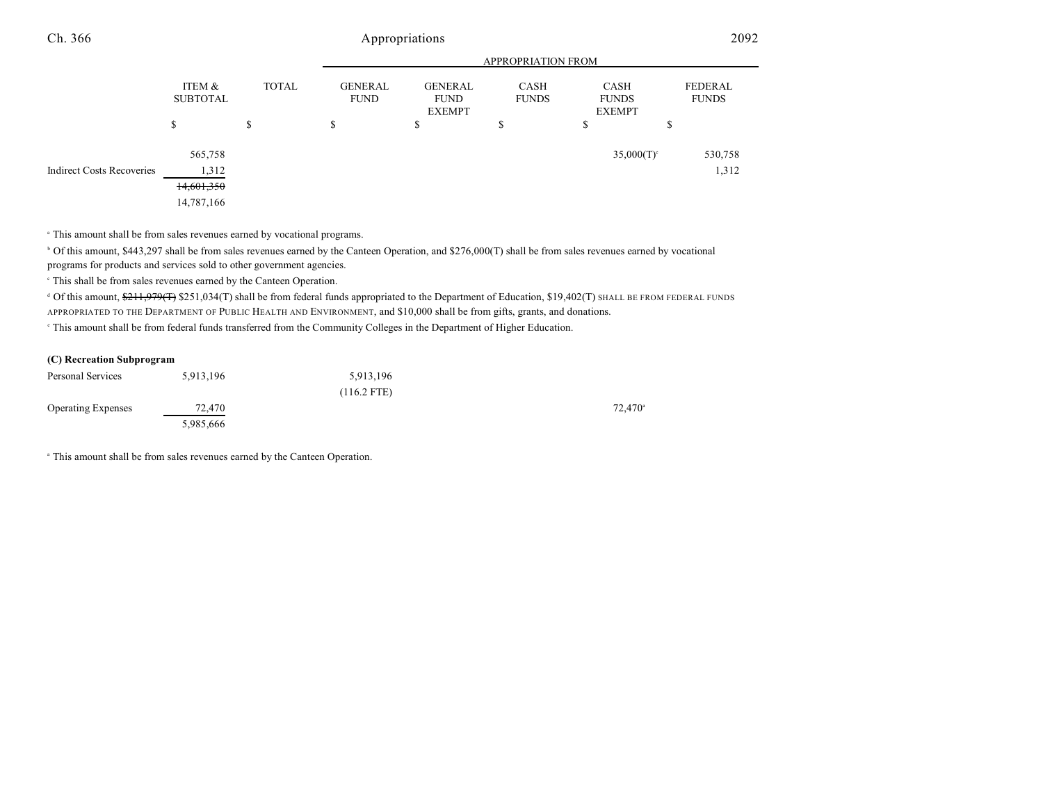|                                  |                           |              | <b>APPROPRIATION FROM</b>                                                                               |    |    |                                       |                                |
|----------------------------------|---------------------------|--------------|---------------------------------------------------------------------------------------------------------|----|----|---------------------------------------|--------------------------------|
|                                  | ITEM &<br><b>SUBTOTAL</b> | <b>TOTAL</b> | <b>GENERAL</b><br><b>GENERAL</b><br>CASH<br><b>FUND</b><br><b>FUNDS</b><br><b>FUND</b><br><b>EXEMPT</b> |    |    | CASH<br><b>FUNDS</b><br><b>EXEMPT</b> | <b>FEDERAL</b><br><b>FUNDS</b> |
|                                  | \$                        | \$           | \$                                                                                                      | \$ | \$ | ch<br>ъ                               | Φ                              |
| <b>Indirect Costs Recoveries</b> | 565,758<br>1,312          |              |                                                                                                         |    |    | $35,000(T)$ <sup>c</sup>              | 530,758<br>1,312               |
|                                  | 14,601,350                |              |                                                                                                         |    |    |                                       |                                |
|                                  | 14,787,166                |              |                                                                                                         |    |    |                                       |                                |

<sup>a</sup> This amount shall be from sales revenues earned by vocational programs.

 Of this amount, \$443,297 shall be from sales revenues earned by the Canteen Operation, and \$276,000(T) shall be from sales revenues earned by vocational <sup>b</sup> programs for products and services sold to other government agencies.

 $\degree$  This shall be from sales revenues earned by the Canteen Operation.

<sup>d</sup> Of this amount, \$211,979(T) \$251,034(T) shall be from federal funds appropriated to the Department of Education, \$19,402(T) SHALL BE FROM FEDERAL FUNDS APPROPRIATED TO THE DEPARTMENT OF PUBLIC HEALTH AND ENVIRONMENT, and \$10,000 shall be from gifts, grants, and donations.

 $\degree$  This amount shall be from federal funds transferred from the Community Colleges in the Department of Higher Education.

#### **(C) Recreation Subprogram**

| Personal Services         | 5,913,196 | 5,913,196     |        |
|---------------------------|-----------|---------------|--------|
|                           |           | $(116.2$ FTE) |        |
| <b>Operating Expenses</b> | 72,470    |               | 72,470 |
|                           | 5,985,666 |               |        |

<sup>a</sup> This amount shall be from sales revenues earned by the Canteen Operation.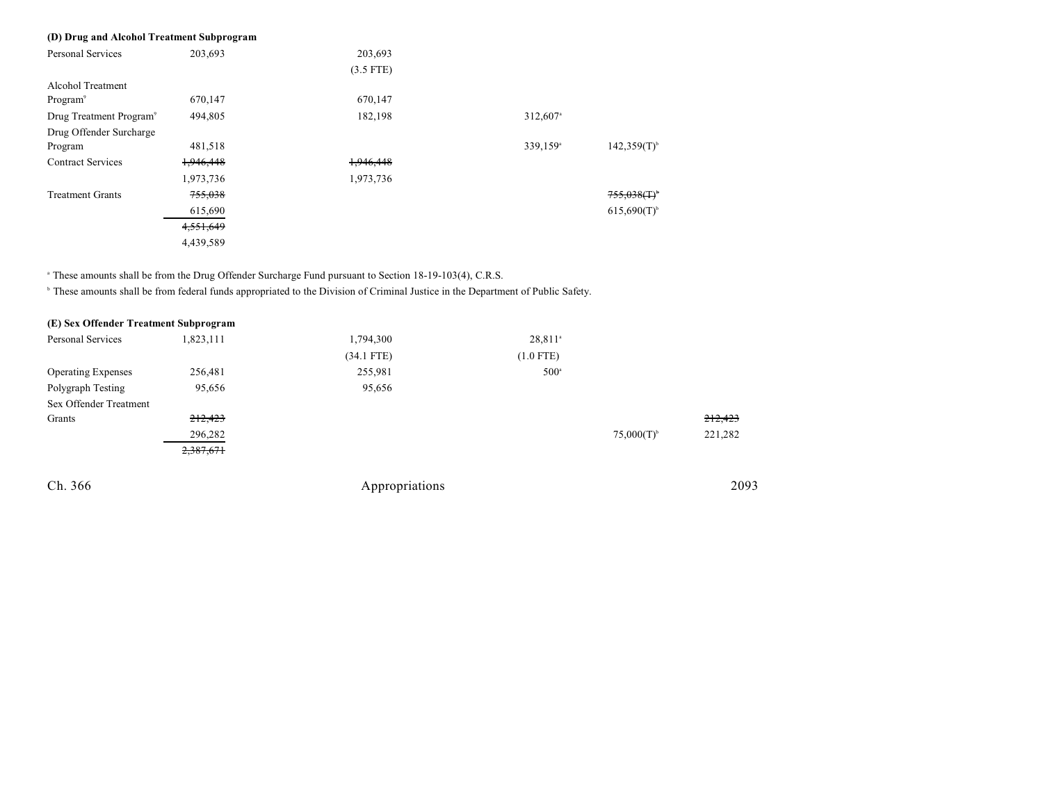#### **(D) Drug and Alcohol Treatment Subprogram**

| <b>Personal Services</b>            | 203,693   | 203,693     |                      |                           |
|-------------------------------------|-----------|-------------|----------------------|---------------------------|
|                                     |           | $(3.5$ FTE) |                      |                           |
| <b>Alcohol Treatment</b>            |           |             |                      |                           |
| Program <sup>9</sup>                | 670,147   | 670,147     |                      |                           |
| Drug Treatment Program <sup>9</sup> | 494,805   | 182,198     | 312,607 <sup>a</sup> |                           |
| Drug Offender Surcharge             |           |             |                      |                           |
| Program                             | 481,518   |             | 339,159 <sup>a</sup> | $142,359(T)$ <sup>b</sup> |
| <b>Contract Services</b>            | 1,946,448 | 1,946,448   |                      |                           |
|                                     | 1,973,736 | 1,973,736   |                      |                           |
| <b>Treatment Grants</b>             | 755,038   |             |                      | 755.038(f)                |
|                                     | 615,690   |             |                      | $615,690(T)$ <sup>b</sup> |
|                                     | 4,551,649 |             |                      |                           |
|                                     | 4,439,589 |             |                      |                           |
|                                     |           |             |                      |                           |

<sup>a</sup> These amounts shall be from the Drug Offender Surcharge Fund pursuant to Section 18-19-103(4), C.R.S.

<sup>h</sup> These amounts shall be from federal funds appropriated to the Division of Criminal Justice in the Department of Public Safety.

| (E) Sex Offender Treatment Subprogram |           |              |                       |                 |         |
|---------------------------------------|-----------|--------------|-----------------------|-----------------|---------|
| Personal Services                     | 1,823,111 | 1,794,300    | $28,811$ <sup>a</sup> |                 |         |
|                                       |           | $(34.1$ FTE) | $(1.0$ FTE)           |                 |         |
| <b>Operating Expenses</b>             | 256,481   | 255,981      | $500^{\circ}$         |                 |         |
| Polygraph Testing                     | 95,656    | 95,656       |                       |                 |         |
| Sex Offender Treatment                |           |              |                       |                 |         |
| Grants                                | 212,423   |              |                       |                 | 212,423 |
|                                       | 296,282   |              |                       | $75,000(T)^{6}$ | 221,282 |
|                                       | 2,387,671 |              |                       |                 |         |
|                                       |           |              |                       |                 |         |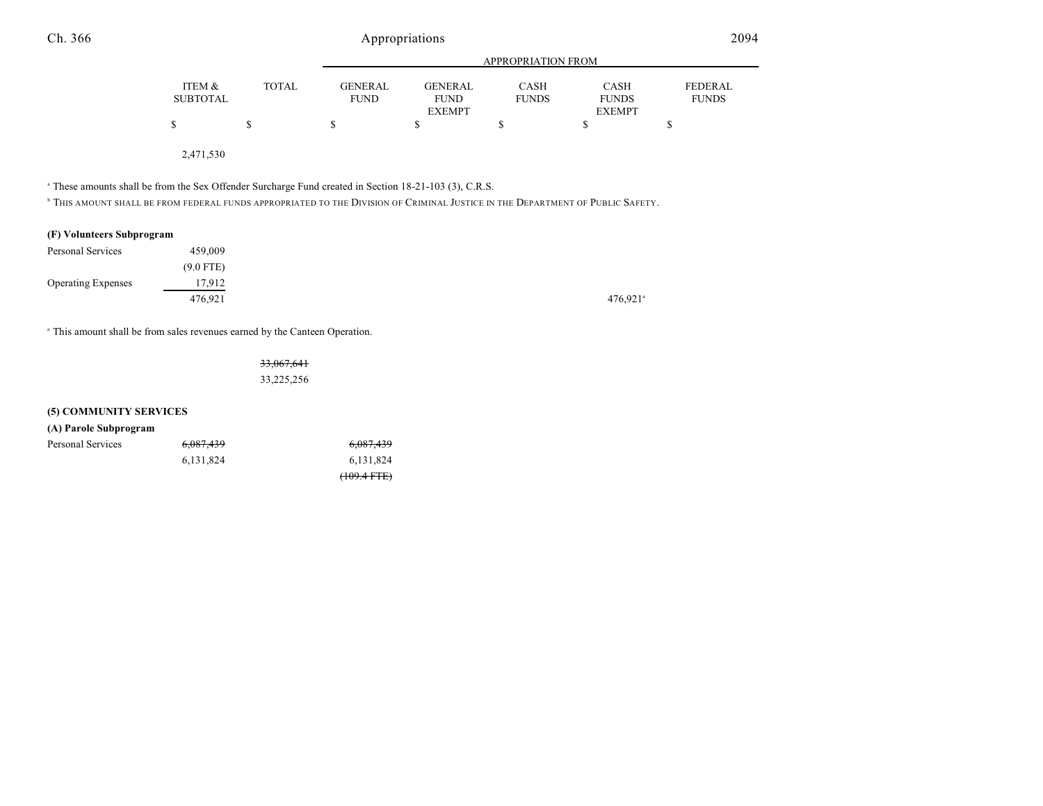|                 |              | APPROPRIATION FROM |               |              |               |              |
|-----------------|--------------|--------------------|---------------|--------------|---------------|--------------|
| ITEM &          | <b>TOTAL</b> | <b>GENERAL</b>     | GENERAL       | <b>CASH</b>  | <b>CASH</b>   | FEDERAL      |
| <b>SUBTOTAL</b> |              | <b>FUND</b>        | <b>FUND</b>   | <b>FUNDS</b> | <b>FUNDS</b>  | <b>FUNDS</b> |
|                 |              |                    | <b>EXEMPT</b> |              | <b>EXEMPT</b> |              |
|                 |              |                    |               |              |               |              |
|                 |              |                    |               |              |               |              |

2,471,530

<sup>a</sup> These amounts shall be from the Sex Offender Surcharge Fund created in Section 18-21-103 (3), C.R.S.

 $^\circ$  This amount shall be from federal funds appropriated to the Division of Criminal Justice in the Department of Public Safety.

#### **(F) Volunteers Subprogram**

| Personal Services         | 459,009     |         |
|---------------------------|-------------|---------|
|                           | $(9.0$ FTE) |         |
| <b>Operating Expenses</b> | 17,912      |         |
|                           | 476.921     | 476,921 |

<sup>a</sup> This amount shall be from sales revenues earned by the Canteen Operation.

33,067,641 33,225,256

#### **(5) COMMUNITY SERVICES**

|  | (A) Parole Subprogram |
|--|-----------------------|
|--|-----------------------|

| Personal Services | 6,087,439 | <del>6,087,439</del> |
|-------------------|-----------|----------------------|
|                   | 6.131.824 | 6.131.824            |
|                   |           | $(109.4 + FFE)$      |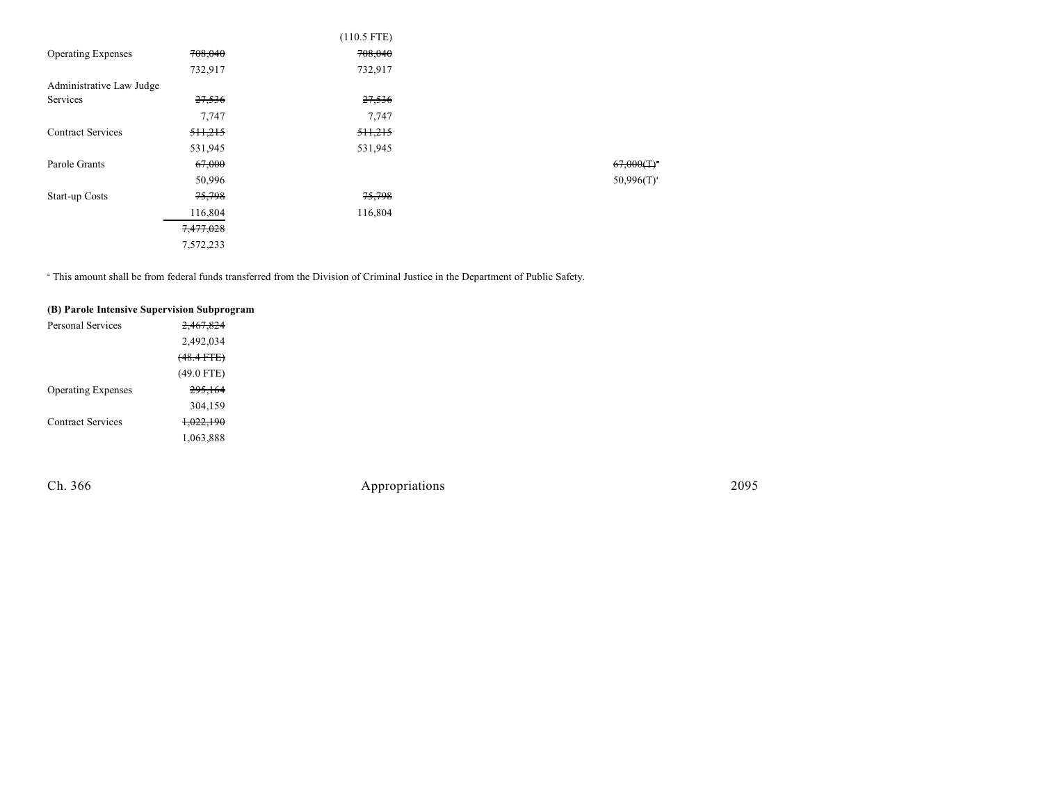|                           |           | $(110.5$ FTE) |                          |
|---------------------------|-----------|---------------|--------------------------|
| <b>Operating Expenses</b> | 708,040   | 708,040       |                          |
|                           | 732,917   | 732,917       |                          |
| Administrative Law Judge  |           |               |                          |
| Services                  | 27,536    | 27,536        |                          |
|                           | 7,747     | 7,747         |                          |
| <b>Contract Services</b>  | 511,215   | 511,215       |                          |
|                           | 531,945   | 531,945       |                          |
| Parole Grants             | 67,000    |               | $67,000(T)$ <sup>*</sup> |
|                           | 50,996    |               | $50,996(T)^{a}$          |
| Start-up Costs            | 75,798    | 75,798        |                          |
|                           | 116,804   | 116,804       |                          |
|                           | 7,477,028 |               |                          |
|                           | 7,572,233 |               |                          |

<sup>a</sup> This amount shall be from federal funds transferred from the Division of Criminal Justice in the Department of Public Safety.

| (B) Parole Intensive Supervision Subprogram |              |
|---------------------------------------------|--------------|
| Personal Services                           | 2.467.824    |
|                                             | 2,492,034    |
|                                             | $(48.4$ FTE) |
|                                             | $(49.0$ FTE) |
| <b>Operating Expenses</b>                   | 295,164      |
|                                             | 304,159      |
| <b>Contract Services</b>                    | 1,022,190    |
|                                             | 1,063,888    |
|                                             |              |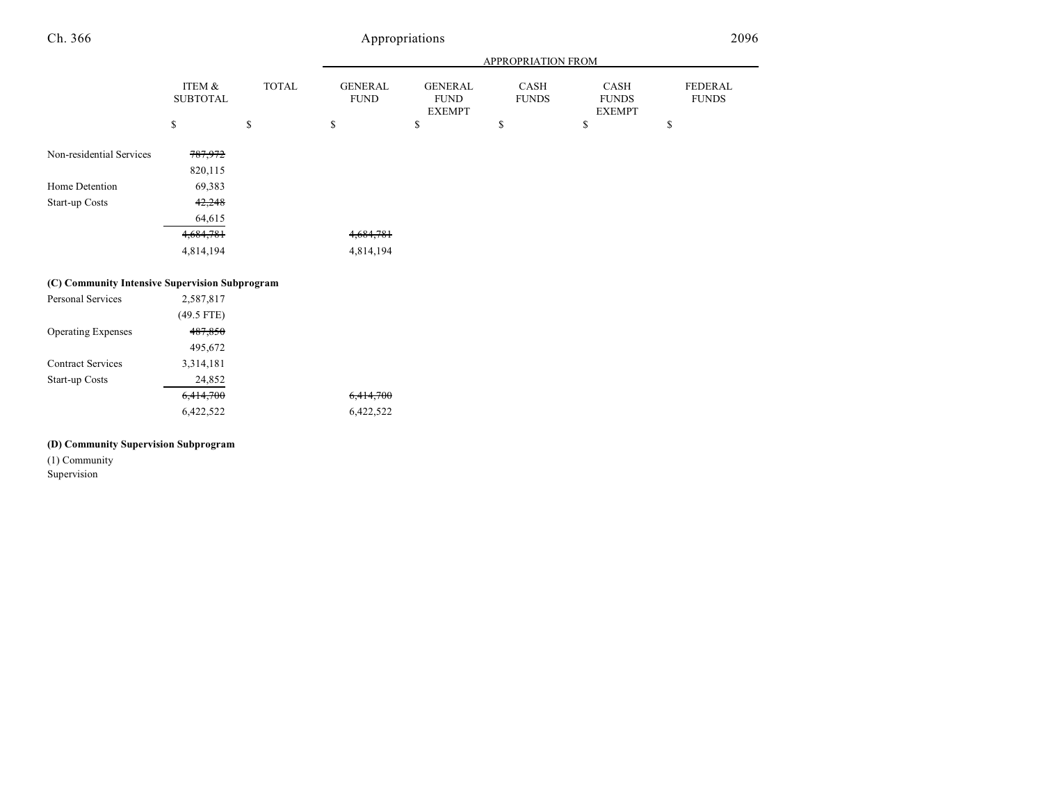|                                                |                           |              |                               |                                                | APPROPRIATION FROM   |                                       |                         |
|------------------------------------------------|---------------------------|--------------|-------------------------------|------------------------------------------------|----------------------|---------------------------------------|-------------------------|
|                                                | ITEM &<br><b>SUBTOTAL</b> | <b>TOTAL</b> | <b>GENERAL</b><br><b>FUND</b> | <b>GENERAL</b><br><b>FUND</b><br><b>EXEMPT</b> | CASH<br><b>FUNDS</b> | CASH<br><b>FUNDS</b><br><b>EXEMPT</b> | FEDERAL<br><b>FUNDS</b> |
|                                                | \$                        | \$           | \$                            | \$                                             | \$                   | \$                                    | \$                      |
| Non-residential Services                       | 787,972<br>820,115        |              |                               |                                                |                      |                                       |                         |
| Home Detention                                 | 69,383                    |              |                               |                                                |                      |                                       |                         |
| Start-up Costs                                 | 42,248                    |              |                               |                                                |                      |                                       |                         |
|                                                | 64,615                    |              |                               |                                                |                      |                                       |                         |
|                                                | 4,684,781                 |              | 4,684,781                     |                                                |                      |                                       |                         |
|                                                | 4,814,194                 |              | 4,814,194                     |                                                |                      |                                       |                         |
| (C) Community Intensive Supervision Subprogram |                           |              |                               |                                                |                      |                                       |                         |
| Personal Services                              | 2,587,817                 |              |                               |                                                |                      |                                       |                         |
|                                                | $(49.5$ FTE)              |              |                               |                                                |                      |                                       |                         |
| <b>Operating Expenses</b>                      | 487,850                   |              |                               |                                                |                      |                                       |                         |
|                                                | 495,672                   |              |                               |                                                |                      |                                       |                         |
| <b>Contract Services</b>                       | 3,314,181                 |              |                               |                                                |                      |                                       |                         |
| Start-up Costs                                 | 24,852                    |              |                               |                                                |                      |                                       |                         |
|                                                | 6,414,700                 |              | 6,414,700                     |                                                |                      |                                       |                         |

6,422,522 6,422,522

#### **(D) Community Supervision Subprogram**

(1) Community

Supervision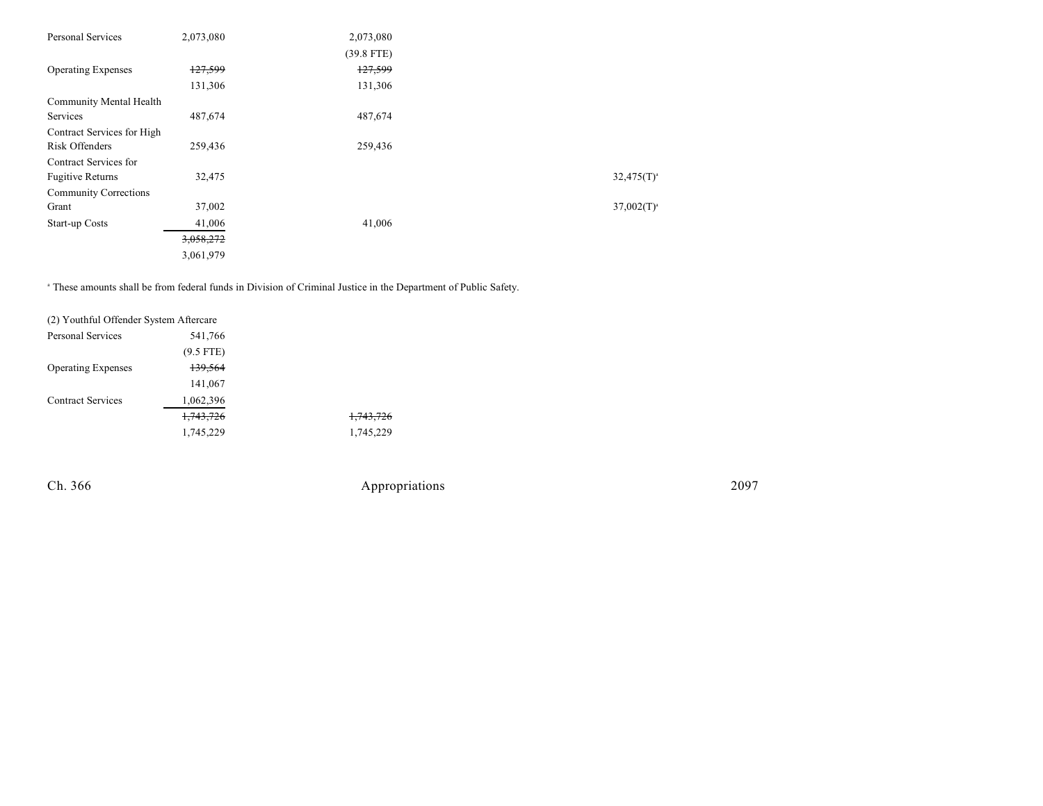| Personal Services            | 2,073,080          | 2,073,080    |                 |
|------------------------------|--------------------|--------------|-----------------|
|                              |                    | $(39.8$ FTE) |                 |
| <b>Operating Expenses</b>    | <del>127,599</del> | 127,599      |                 |
|                              | 131,306            | 131,306      |                 |
| Community Mental Health      |                    |              |                 |
| Services                     | 487,674            | 487,674      |                 |
| Contract Services for High   |                    |              |                 |
| Risk Offenders               | 259,436            | 259,436      |                 |
| Contract Services for        |                    |              |                 |
| <b>Fugitive Returns</b>      | 32,475             |              | $32,475(T)^{a}$ |
| <b>Community Corrections</b> |                    |              |                 |
| Grant                        | 37,002             |              | $37,002(T)^{a}$ |
| Start-up Costs               | 41,006             | 41,006       |                 |
|                              | 3,058,272          |              |                 |
|                              | 3,061,979          |              |                 |

<sup>a</sup> These amounts shall be from federal funds in Division of Criminal Justice in the Department of Public Safety.

| (2) Youthful Offender System Aftercare |             |           |
|----------------------------------------|-------------|-----------|
| <b>Personal Services</b>               | 541,766     |           |
|                                        | $(9.5$ FTE) |           |
| <b>Operating Expenses</b>              | 139,564     |           |
|                                        | 141,067     |           |
| <b>Contract Services</b>               | 1,062,396   |           |
|                                        | 1,743,726   | 1,743,726 |
|                                        | 1,745,229   | 1,745,229 |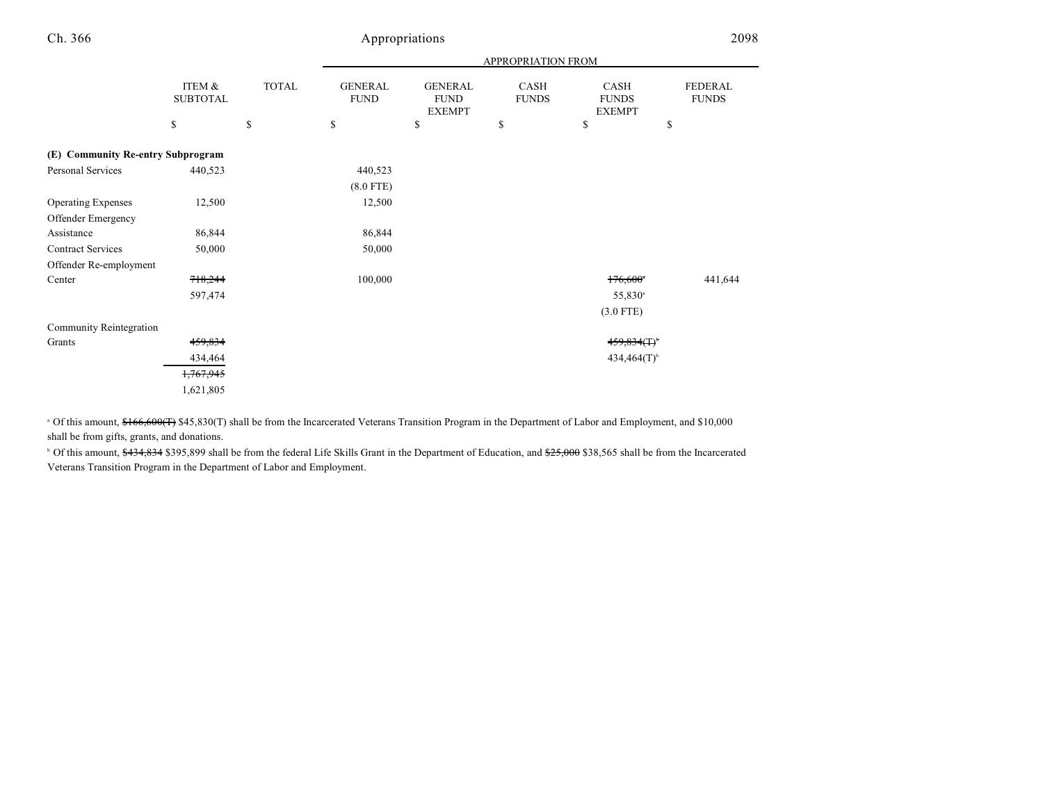| h. | 366 |
|----|-----|
|    |     |

### Appropriations 2098

|                                   |                           |              | APPROPRIATION FROM            |                                                |                      |                                       |                                |  |
|-----------------------------------|---------------------------|--------------|-------------------------------|------------------------------------------------|----------------------|---------------------------------------|--------------------------------|--|
|                                   | ITEM &<br><b>SUBTOTAL</b> | <b>TOTAL</b> | <b>GENERAL</b><br><b>FUND</b> | <b>GENERAL</b><br><b>FUND</b><br><b>EXEMPT</b> | CASH<br><b>FUNDS</b> | CASH<br><b>FUNDS</b><br><b>EXEMPT</b> | <b>FEDERAL</b><br><b>FUNDS</b> |  |
|                                   | \$                        | \$           | \$                            | \$                                             | \$                   | \$                                    | \$                             |  |
| (E) Community Re-entry Subprogram |                           |              |                               |                                                |                      |                                       |                                |  |
| Personal Services                 | 440,523                   |              | 440,523                       |                                                |                      |                                       |                                |  |
|                                   |                           |              | $(8.0$ FTE)                   |                                                |                      |                                       |                                |  |
| <b>Operating Expenses</b>         | 12,500                    |              | 12,500                        |                                                |                      |                                       |                                |  |
| Offender Emergency                |                           |              |                               |                                                |                      |                                       |                                |  |
| Assistance                        | 86,844                    |              | 86,844                        |                                                |                      |                                       |                                |  |
| <b>Contract Services</b>          | 50,000                    |              | 50,000                        |                                                |                      |                                       |                                |  |
| Offender Re-employment            |                           |              |                               |                                                |                      |                                       |                                |  |
| Center                            | 718,244                   |              | 100,000                       |                                                |                      | $176,600$ <sup>*</sup>                | 441,644                        |  |
|                                   | 597,474                   |              |                               |                                                |                      | 55,830 <sup>a</sup>                   |                                |  |
|                                   |                           |              |                               |                                                |                      | $(3.0$ FTE)                           |                                |  |
| Community Reintegration           |                           |              |                               |                                                |                      |                                       |                                |  |
| Grants                            | 459,834                   |              |                               |                                                |                      | 459,834(T)                            |                                |  |
|                                   | 434,464                   |              |                               |                                                |                      | $434,464(T)$ <sup>b</sup>             |                                |  |
|                                   | 1,767,945                 |              |                               |                                                |                      |                                       |                                |  |
|                                   | 1,621,805                 |              |                               |                                                |                      |                                       |                                |  |

<sup>a</sup> Of this amount, \$166,600(T) \$45,830(T) shall be from the Incarcerated Veterans Transition Program in the Department of Labor and Employment, and \$10,000 shall be from gifts, grants, and donations.

<sup>b</sup> Of this amount, \$434,834 \$395,899 shall be from the federal Life Skills Grant in the Department of Education, and \$25,000 \$38,565 shall be from the Incarcerated Veterans Transition Program in the Department of Labor and Employment.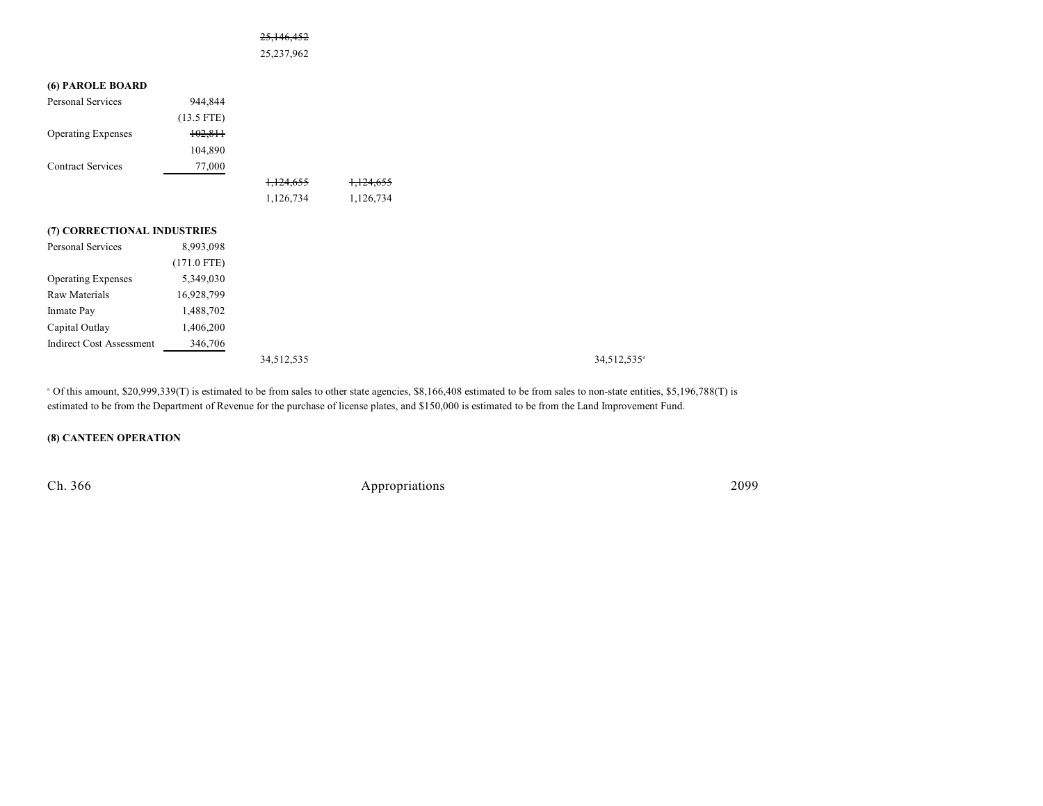#### 25,146,452

25,237,962

#### **(6) PAROLE BOARD**

| <b>Personal Services</b>        | 944,844       |            |           |  |
|---------------------------------|---------------|------------|-----------|--|
|                                 | $(13.5$ FTE)  |            |           |  |
| <b>Operating Expenses</b>       | 102,811       |            |           |  |
|                                 | 104,890       |            |           |  |
| <b>Contract Services</b>        | 77,000        |            |           |  |
|                                 |               | 1,124,655  | 1,124,655 |  |
|                                 |               | 1,126,734  | 1,126,734 |  |
|                                 |               |            |           |  |
| (7) CORRECTIONAL INDUSTRIES     |               |            |           |  |
| Personal Services               | 8,993,098     |            |           |  |
|                                 | $(171.0$ FTE) |            |           |  |
| <b>Operating Expenses</b>       | 5,349,030     |            |           |  |
| <b>Raw Materials</b>            | 16,928,799    |            |           |  |
| Inmate Pay                      | 1,488,702     |            |           |  |
| Capital Outlay                  | 1,406,200     |            |           |  |
| <b>Indirect Cost Assessment</b> | 346,706       |            |           |  |
|                                 |               | 34,512,535 |           |  |

<sup>a</sup> Of this amount, \$20,999,339(T) is estimated to be from sales to other state agencies, \$8,166,408 estimated to be from sales to non-state entities, \$5,196,788(T) is estimated to be from the Department of Revenue for the purchase of license plates, and \$150,000 is estimated to be from the Land Improvement Fund.

#### **(8) CANTEEN OPERATION**

Ch. 366 Appropriations 2099

34,512,535<sup>a</sup>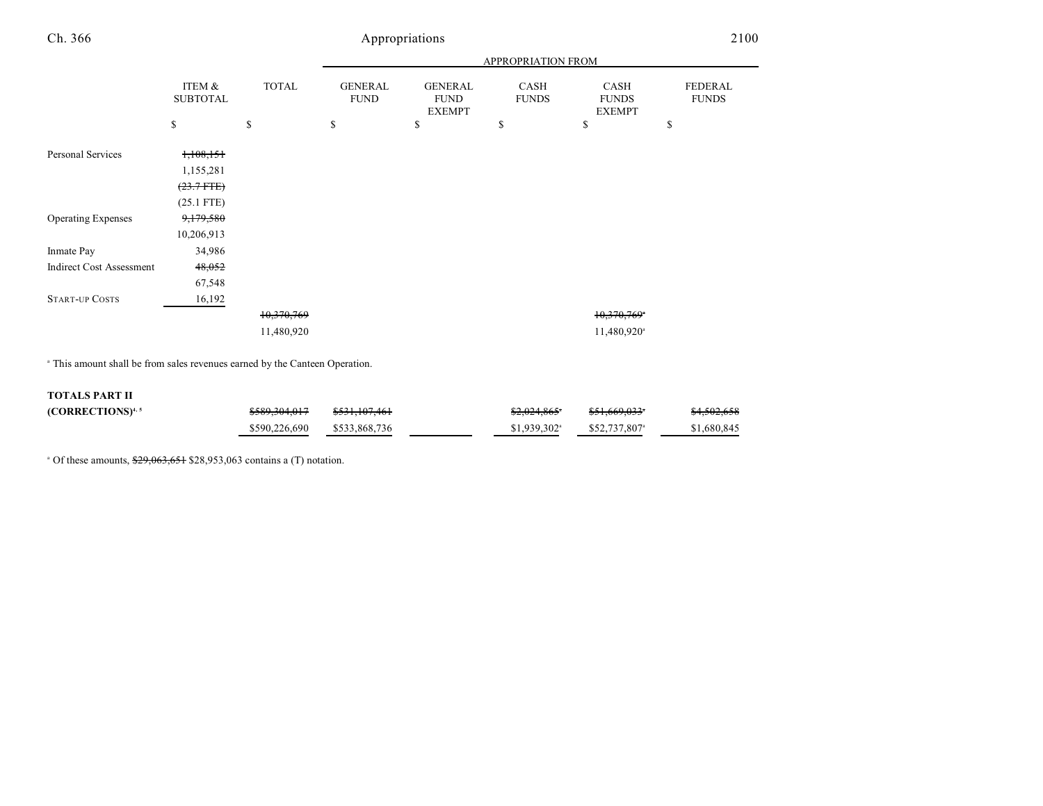|  |  | propriations |  |
|--|--|--------------|--|
|  |  |              |  |

|                                 |                                                          |              | APPROPRIATION FROM            |                                                |                      |                                       |                         |
|---------------------------------|----------------------------------------------------------|--------------|-------------------------------|------------------------------------------------|----------------------|---------------------------------------|-------------------------|
|                                 | ITEM &<br><b>SUBTOTAL</b>                                | <b>TOTAL</b> | <b>GENERAL</b><br><b>FUND</b> | <b>GENERAL</b><br><b>FUND</b><br><b>EXEMPT</b> | CASH<br><b>FUNDS</b> | CASH<br><b>FUNDS</b><br><b>EXEMPT</b> | FEDERAL<br><b>FUNDS</b> |
|                                 | \$                                                       | \$           | \$                            | \$                                             | \$                   | \$                                    | \$                      |
| Personal Services               | 1,108,151<br>1,155,281<br>$(23.7 + FFE)$<br>$(25.1$ FTE) |              |                               |                                                |                      |                                       |                         |
| <b>Operating Expenses</b>       | 9,179,580                                                |              |                               |                                                |                      |                                       |                         |
|                                 | 10,206,913                                               |              |                               |                                                |                      |                                       |                         |
| Inmate Pay                      | 34,986                                                   |              |                               |                                                |                      |                                       |                         |
| <b>Indirect Cost Assessment</b> | 48,052                                                   |              |                               |                                                |                      |                                       |                         |
|                                 | 67,548                                                   |              |                               |                                                |                      |                                       |                         |
| <b>START-UP COSTS</b>           | 16,192                                                   |              |                               |                                                |                      |                                       |                         |
|                                 |                                                          | 10,370,769   |                               |                                                |                      | 10,370,769*                           |                         |
|                                 |                                                          | 11,480,920   |                               |                                                |                      | 11,480,920 <sup>a</sup>               |                         |

<sup>a</sup> This amount shall be from sales revenues earned by the Canteen Operation.

#### **TOTALS PART II**

| $(CORRECTIONS)^{4, 5}$ | <del>\$589.304.017</del> | <del>\$531,107,461</del> | $$2,024,865$ <sup>*</sup> | <del>\$51.669.033</del> * | \$4,502,658 |
|------------------------|--------------------------|--------------------------|---------------------------|---------------------------|-------------|
|                        | \$590,226,690            | \$533.868.736            | $$1.939.302$ <sup>a</sup> | \$52,737,807 <sup>a</sup> | \$1,680,845 |

<sup>a</sup> Of these amounts,  $\frac{$29,063,651}{28,953,063}$  contains a (T) notation.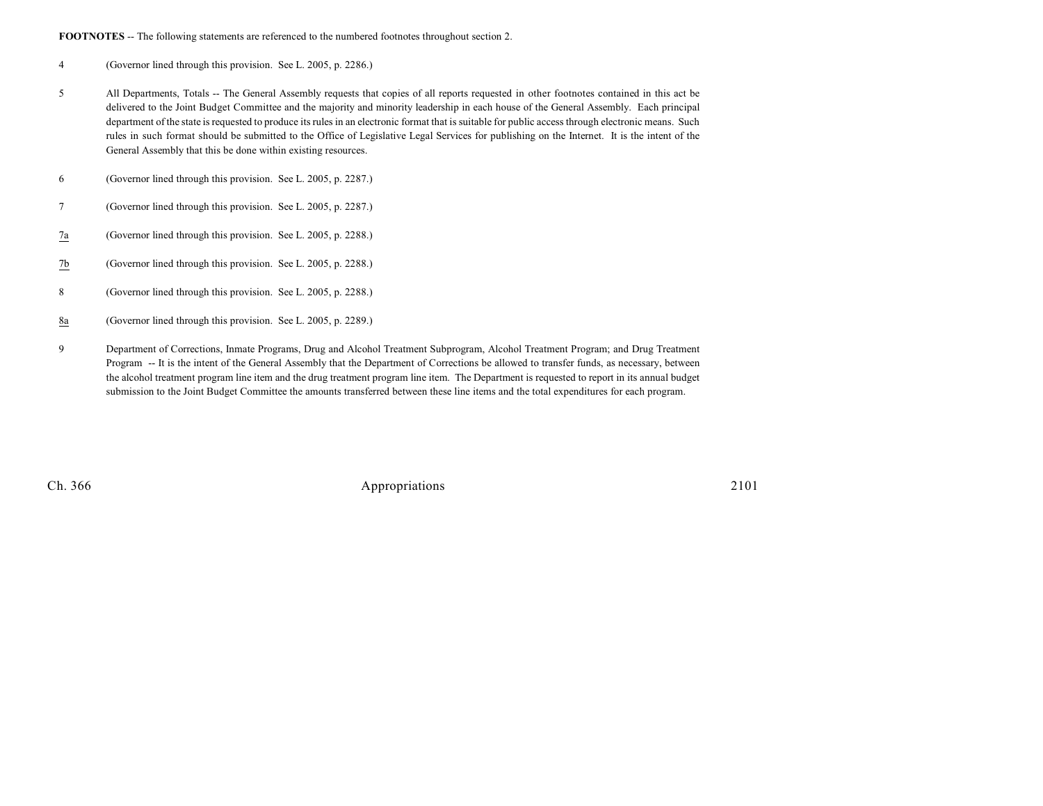FOOTNOTES -- The following statements are referenced to the numbered footnotes throughout section 2.

- 4 (Governor lined through this provision. See L. 2005, p. 2286.)
- 5 All Departments, Totals -- The General Assembly requests that copies of all reports requested in other footnotes contained in this act be delivered to the Joint Budget Committee and the majority and minority leadership in each house of the General Assembly. Each principal department of the state is requested to produce its rules in an electronic format that is suitable for public access through electronic means. Such rules in such format should be submitted to the Office of Legislative Legal Services for publishing on the Internet. It is the intent of the General Assembly that this be done within existing resources.
- 6 (Governor lined through this provision. See L. 2005, p. 2287.)
- 7 (Governor lined through this provision. See L. 2005, p. 2287.)
- 7a (Governor lined through this provision. See L. 2005, p. 2288.)
- 7b (Governor lined through this provision. See L. 2005, p. 2288.)
- 8 (Governor lined through this provision. See L. 2005, p. 2288.)
- 8a (Governor lined through this provision. See L. 2005, p. 2289.)
- 9 Department of Corrections, Inmate Programs, Drug and Alcohol Treatment Subprogram, Alcohol Treatment Program; and Drug Treatment Program -- It is the intent of the General Assembly that the Department of Corrections be allowed to transfer funds, as necessary, between the alcohol treatment program line item and the drug treatment program line item. The Department is requested to report in its annual budget submission to the Joint Budget Committee the amounts transferred between these line items and the total expenditures for each program.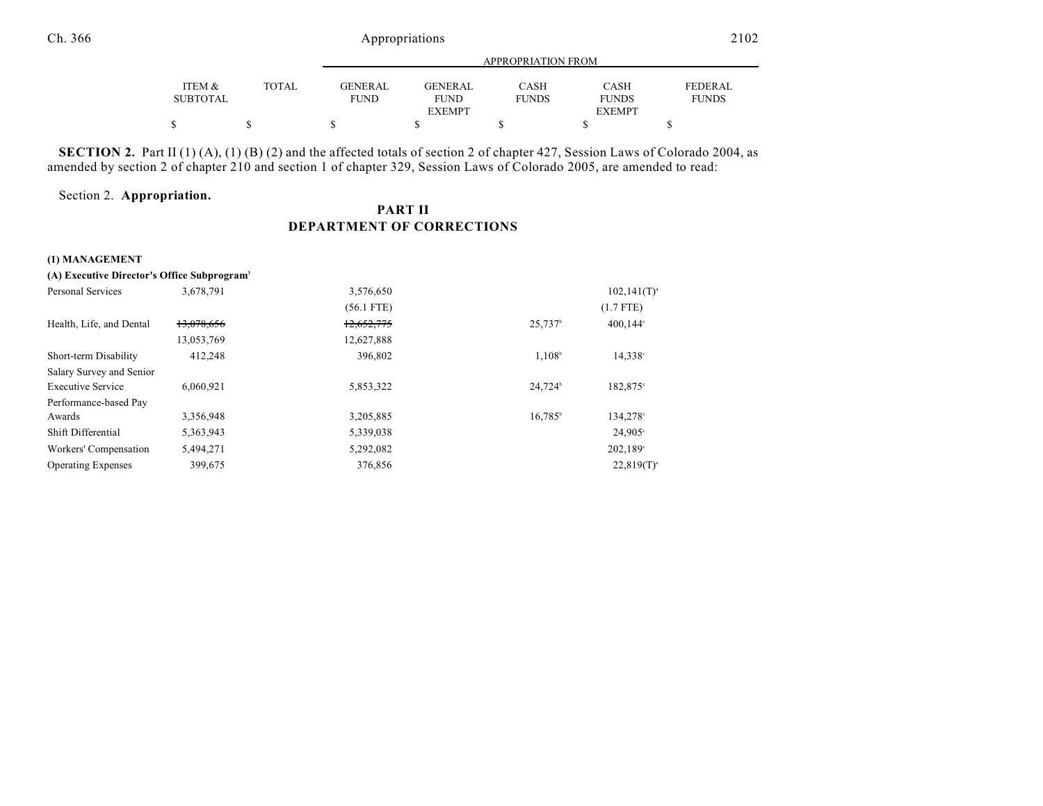|                 |              | APPROPRIATION FROM |                |              |               |                |  |
|-----------------|--------------|--------------------|----------------|--------------|---------------|----------------|--|
| ITEM &          | <b>TOTAL</b> | <b>GENERAL</b>     | <b>GENERAL</b> | CASH         | <b>CASH</b>   | <b>FEDERAL</b> |  |
| <b>SUBTOTAL</b> |              | <b>FUND</b>        | <b>FUND</b>    | <b>FUNDS</b> | <b>FUNDS</b>  | <b>FUNDS</b>   |  |
|                 |              |                    | <b>EXEMPT</b>  |              | <b>EXEMPT</b> |                |  |
| \$              |              |                    |                |              |               |                |  |

**SECTION 2.** Part II (1) (A), (1) (B) (2) and the affected totals of section 2 of chapter 427, Session Laws of Colorado 2004, as amended by section 2 of chapter 210 and section 1 of chapter 329, Session Laws of Colorado 2005, are amended to read:

#### Section 2. **Appropriation.**

### **PART II DEPARTMENT OF CORRECTIONS**

#### **(1) MANAGEMENT**

| (A) Executive Director's Office Subprogram <sup>3</sup> |            |              |                     |                     |
|---------------------------------------------------------|------------|--------------|---------------------|---------------------|
| Personal Services                                       | 3,678,791  | 3,576,650    |                     | $102, 141(T)^{a}$   |
|                                                         |            | $(56.1$ FTE) |                     | $(1.7$ FTE)         |
| Health, Life, and Dental                                | 13,078,656 | 12,652,775   | 25,737 <sup>b</sup> | $400,144^{\circ}$   |
|                                                         | 13,053,769 | 12,627,888   |                     |                     |
| Short-term Disability                                   | 412,248    | 396,802      | $1,108^b$           | 14,338 <sup>c</sup> |
| Salary Survey and Senior                                |            |              |                     |                     |
| <b>Executive Service</b>                                | 6.060.921  | 5,853,322    | 24.724 <sup>b</sup> | 182,875°            |
| Performance-based Pay                                   |            |              |                     |                     |
| Awards                                                  | 3,356,948  | 3,205,885    | $16.785^{\circ}$    | 134,278°            |
| Shift Differential                                      | 5,363,943  | 5,339,038    |                     | $24,905^{\circ}$    |
| Workers' Compensation                                   | 5,494,271  | 5,292,082    |                     | 202,189°            |
| <b>Operating Expenses</b>                               | 399,675    | 376,856      |                     | $22,819(T)^a$       |
|                                                         |            |              |                     |                     |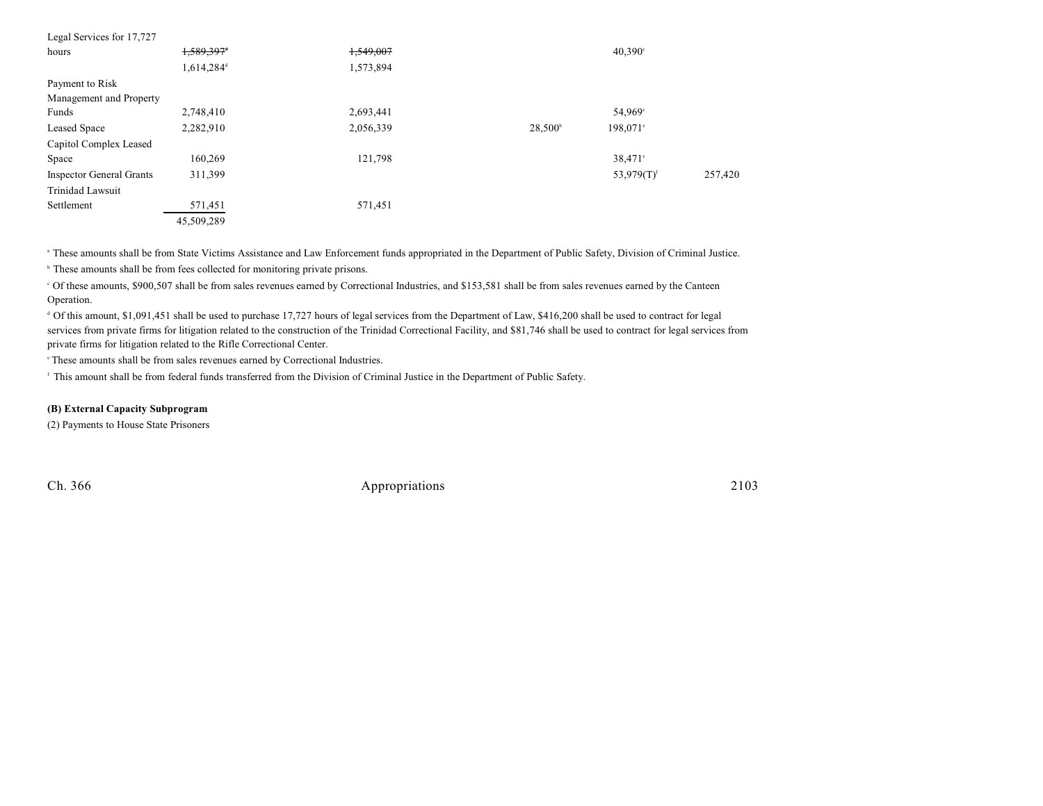| Legal Services for 17,727       |                        |           |                     |                           |         |
|---------------------------------|------------------------|-----------|---------------------|---------------------------|---------|
| hours                           | 1,589,397 <sup>+</sup> | 1,549,007 |                     | $40,390^{\circ}$          |         |
|                                 | 1,614,284 <sup>d</sup> | 1,573,894 |                     |                           |         |
| Payment to Risk                 |                        |           |                     |                           |         |
| Management and Property         |                        |           |                     |                           |         |
| Funds                           | 2,748,410              | 2,693,441 |                     | 54,969 <sup>c</sup>       |         |
| Leased Space                    | 2,282,910              | 2,056,339 | 28,500 <sup>b</sup> | 198,071 <sup>e</sup>      |         |
| Capitol Complex Leased          |                        |           |                     |                           |         |
| Space                           | 160,269                | 121,798   |                     | 38,471 <sup>°</sup>       |         |
| <b>Inspector General Grants</b> | 311,399                |           |                     | 53,979 $(T)$ <sup>f</sup> | 257,420 |
| Trinidad Lawsuit                |                        |           |                     |                           |         |
| Settlement                      | 571,451                | 571,451   |                     |                           |         |
|                                 | 45,509,289             |           |                     |                           |         |

<sup>a</sup> These amounts shall be from State Victims Assistance and Law Enforcement funds appropriated in the Department of Public Safety, Division of Criminal Justice.

<sup>b</sup> These amounts shall be from fees collected for monitoring private prisons.

 Of these amounts, \$900,507 shall be from sales revenues earned by Correctional Industries, and \$153,581 shall be from sales revenues earned by the Canteen <sup>c</sup> Operation.

<sup>d</sup> Of this amount, \$1,091,451 shall be used to purchase 17,727 hours of legal services from the Department of Law, \$416,200 shall be used to contract for legal services from private firms for litigation related to the construction of the Trinidad Correctional Facility, and \$81,746 shall be used to contract for legal services from private firms for litigation related to the Rifle Correctional Center.

 $\degree$ These amounts shall be from sales revenues earned by Correctional Industries.

<sup>f</sup> This amount shall be from federal funds transferred from the Division of Criminal Justice in the Department of Public Safety.

#### **(B) External Capacity Subprogram**

(2) Payments to House State Prisoners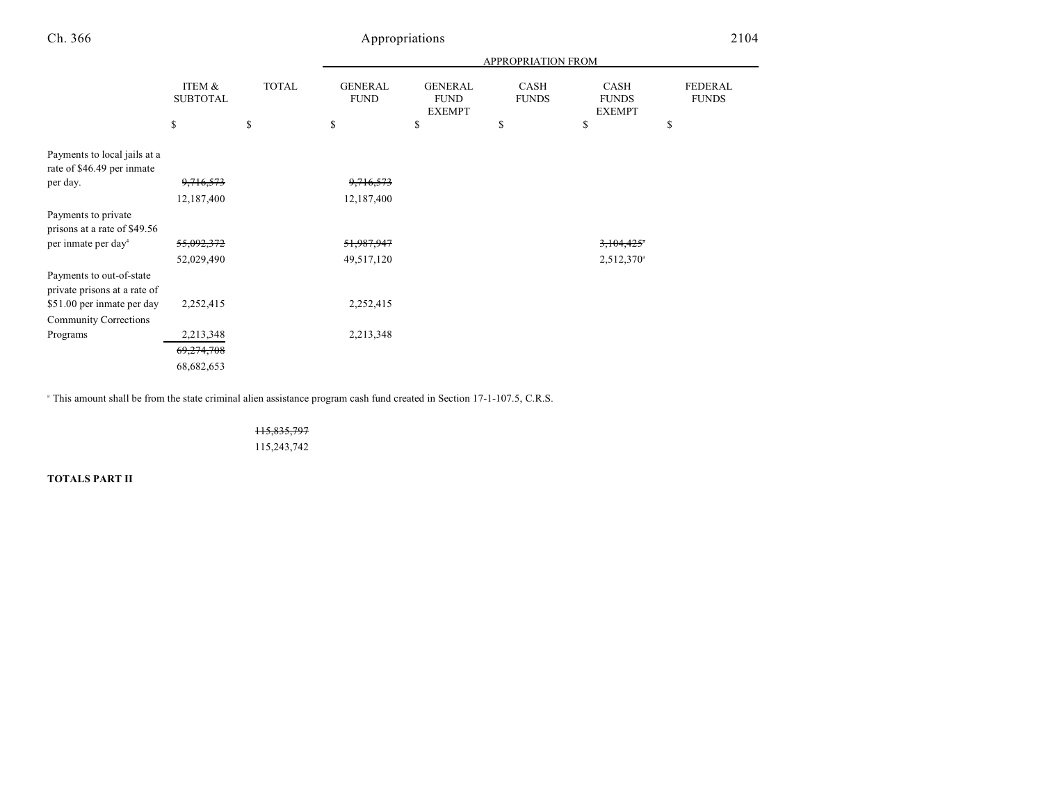|                                                            |                           |              |                               |                                                | APPROPRIATION FROM   |                                              |                                |
|------------------------------------------------------------|---------------------------|--------------|-------------------------------|------------------------------------------------|----------------------|----------------------------------------------|--------------------------------|
|                                                            | ITEM &<br><b>SUBTOTAL</b> | <b>TOTAL</b> | <b>GENERAL</b><br><b>FUND</b> | <b>GENERAL</b><br><b>FUND</b><br><b>EXEMPT</b> | CASH<br><b>FUNDS</b> | <b>CASH</b><br><b>FUNDS</b><br><b>EXEMPT</b> | <b>FEDERAL</b><br><b>FUNDS</b> |
|                                                            | \$                        | \$           | \$                            | <sup>\$</sup>                                  | \$                   | \$                                           | \$                             |
| Payments to local jails at a<br>rate of \$46.49 per inmate |                           |              |                               |                                                |                      |                                              |                                |
| per day.                                                   | 9,716,573                 |              | 9,716,573                     |                                                |                      |                                              |                                |
|                                                            | 12,187,400                |              | 12,187,400                    |                                                |                      |                                              |                                |
| Payments to private<br>prisons at a rate of \$49.56        |                           |              |                               |                                                |                      |                                              |                                |
| per inmate per day <sup>4</sup>                            | 55,092,372                |              | 51,987,947                    |                                                |                      | 3,104,425                                    |                                |
|                                                            | 52,029,490                |              | 49,517,120                    |                                                |                      | 2,512,370 <sup>a</sup>                       |                                |
| Payments to out-of-state<br>private prisons at a rate of   |                           |              |                               |                                                |                      |                                              |                                |
| \$51.00 per inmate per day                                 | 2,252,415                 |              | 2,252,415                     |                                                |                      |                                              |                                |
| <b>Community Corrections</b>                               |                           |              |                               |                                                |                      |                                              |                                |
| Programs                                                   | 2,213,348                 |              | 2,213,348                     |                                                |                      |                                              |                                |
|                                                            | 69,274,708                |              |                               |                                                |                      |                                              |                                |
|                                                            | 68,682,653                |              |                               |                                                |                      |                                              |                                |

<sup>a</sup> This amount shall be from the state criminal alien assistance program cash fund created in Section 17-1-107.5, C.R.S.

115,835,797 115,243,742

**TOTALS PART II**